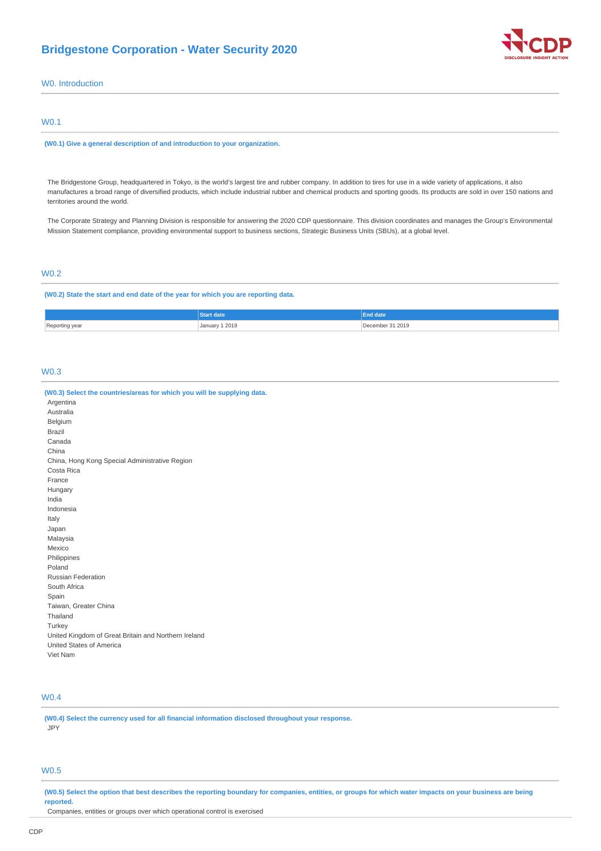# **Bridgestone Corporation - Water Security 2020**



W0. Introduction

### W0.1

**(W0.1) Give a general description of and introduction to your organization.**

The Bridgestone Group, headquartered in Tokyo, is the world's largest tire and rubber company. In addition to tires for use in a wide variety of applications, it also manufactures a broad range of diversified products, which include industrial rubber and chemical products and sporting goods. Its products are sold in over 150 nations and territories around the world.

The Corporate Strategy and Planning Division is responsible for answering the 2020 CDP questionnaire. This division coordinates and manages the Group's Environmental Mission Statement compliance, providing environmental support to business sections, Strategic Business Units (SBUs), at a global level.

# W0.2

**(W0.2) State the start and end date of the year for which you are reporting data.**

|                | art date                 | enu uate              |
|----------------|--------------------------|-----------------------|
| Reporting year | January 1 2019<br>.<br>. | December 31 2019<br>. |

### W0.3

| (W0.3) Select the countries/areas for which you will be supplying data. |
|-------------------------------------------------------------------------|
| Argentina                                                               |
| Australia                                                               |
| Belgium                                                                 |
| Brazil                                                                  |
| Canada                                                                  |
| China                                                                   |
| China, Hong Kong Special Administrative Region                          |
| Costa Rica                                                              |
| France                                                                  |
| Hungary                                                                 |
| India                                                                   |
| Indonesia                                                               |
| Italy                                                                   |
| Japan                                                                   |
| Malaysia                                                                |
| Mexico                                                                  |
| Philippines                                                             |
| Poland                                                                  |
| <b>Russian Federation</b>                                               |
| South Africa                                                            |
| Spain                                                                   |
| Taiwan, Greater China                                                   |
| Thailand                                                                |
| Turkey                                                                  |
| United Kingdom of Great Britain and Northern Ireland                    |
| United States of America                                                |
| Viet Nam                                                                |
|                                                                         |

### W0.4

**(W0.4) Select the currency used for all financial information disclosed throughout your response.** JPY

# W0.5

**(W0.5) Select the option that best describes the reporting boundary for companies, entities, or groups for which water impacts on your business are being reported.**

Companies, entities or groups over which operational control is exercised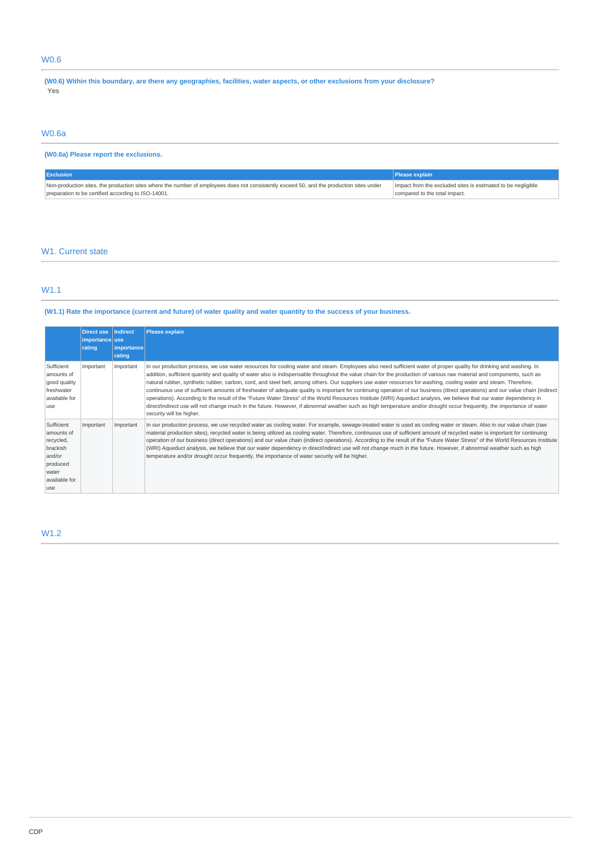# W0.6

**(W0.6) Within this boundary, are there any geographies, facilities, water aspects, or other exclusions from your disclosure?** Yes

### W0.6a

# **(W0.6a) Please report the exclusions.**

| <b>Exclusion</b>                                                                                                                         | <b>Please explain</b>                                        |
|------------------------------------------------------------------------------------------------------------------------------------------|--------------------------------------------------------------|
| Non-production sites, the production sites where the number of employees does not consistently exceed 50, and the production sites under | Impact from the excluded sites is estimated to be negligible |
| preparation to be certified according to ISO-14001.                                                                                      | compared to the total impact.                                |

### W<sub>1</sub>. Current state

# W1.1

### **(W1.1) Rate the importance (current and future) of water quality and water quantity to the success of your business.**

|                                                                                                          | <b>Direct use</b><br>importance use | Indirect                    | <b>Please explain</b>                                                                                                                                                                                                                                                                                                                                                                                                                                                                                                                                                                                                                                                                                                                                                                                                                                                                                                                                                                                                                                                           |
|----------------------------------------------------------------------------------------------------------|-------------------------------------|-----------------------------|---------------------------------------------------------------------------------------------------------------------------------------------------------------------------------------------------------------------------------------------------------------------------------------------------------------------------------------------------------------------------------------------------------------------------------------------------------------------------------------------------------------------------------------------------------------------------------------------------------------------------------------------------------------------------------------------------------------------------------------------------------------------------------------------------------------------------------------------------------------------------------------------------------------------------------------------------------------------------------------------------------------------------------------------------------------------------------|
|                                                                                                          | rating                              | <i>importance</i><br>rating |                                                                                                                                                                                                                                                                                                                                                                                                                                                                                                                                                                                                                                                                                                                                                                                                                                                                                                                                                                                                                                                                                 |
| Sufficient<br>amounts of<br>good quality<br>freshwater<br>available for<br>use                           | Important                           | Important                   | In our production process, we use water resources for cooling water and steam. Employees also need sufficient water of proper quality for drinking and washing. In<br>addition, sufficient quantity and quality of water also is indispensable throughout the value chain for the production of various raw material and components, such as<br>natural rubber, synthetic rubber, carbon, cord, and steel belt, among others. Our suppliers use water resources for washing, cooling water and steam. Therefore,<br>continuous use of sufficient amounts of freshwater of adequate quality is important for continuing operation of our business (direct operations) and our value chain (indirect<br>operations). According to the result of the "Future Water Stress" of the World Resources Institute (WRI) Aqueduct analysis, we believe that our water dependency in<br>direct/indirect use will not change much in the future. However, if abnormal weather such as high temperature and/or drought occur frequently, the importance of water<br>security will be higher. |
| Sufficient<br>amounts of<br>recycled,<br>brackish<br>and/or<br>produced<br>water<br>available for<br>use | Important                           | Important                   | In our production process, we use recycled water as cooling water. For example, sewage-treated water is used as cooling water or steam. Also in our value chain (raw<br>material production sites), recycled water is being utilized as cooling water. Therefore, continuous use of sufficient amount of recycled water is important for continuing<br>operation of our business (direct operations) and our value chain (indirect operations). According to the result of the "Future Water Stress" of the World Resources Institute<br>(WRI) Aqueduct analysis, we believe that our water dependency in direct/indirect use will not change much in the future. However, if abnormal weather such as high<br>temperature and/or drought occur frequently, the importance of water security will be higher.                                                                                                                                                                                                                                                                    |

### W1.2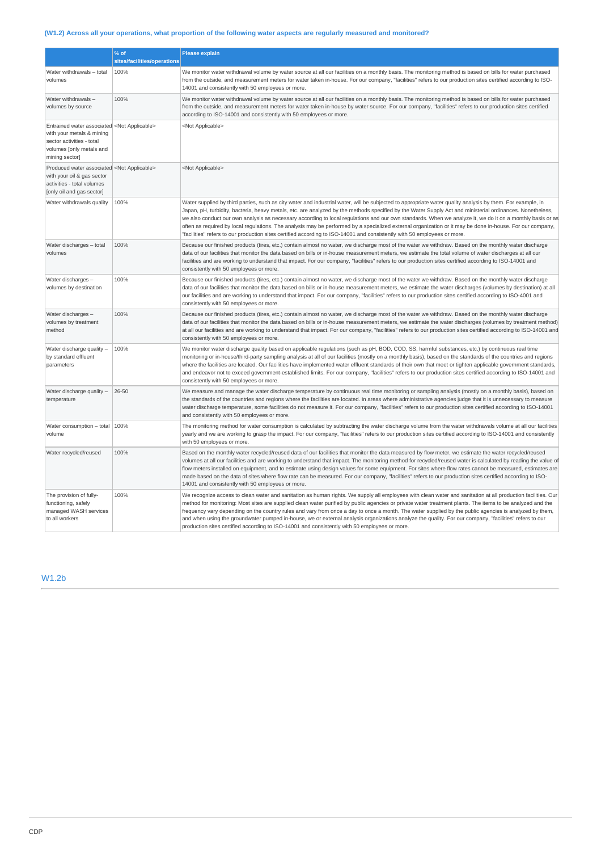# **(W1.2) Across all your operations, what proportion of the following water aspects are regularly measured and monitored?**

|                                                                                                                                                                      | % of<br>sites/facilities/operations | Please explain                                                                                                                                                                                                                                                                                                                                                                                                                                                                                                                                                                                                                                                                                                                                                                |
|----------------------------------------------------------------------------------------------------------------------------------------------------------------------|-------------------------------------|-------------------------------------------------------------------------------------------------------------------------------------------------------------------------------------------------------------------------------------------------------------------------------------------------------------------------------------------------------------------------------------------------------------------------------------------------------------------------------------------------------------------------------------------------------------------------------------------------------------------------------------------------------------------------------------------------------------------------------------------------------------------------------|
|                                                                                                                                                                      |                                     |                                                                                                                                                                                                                                                                                                                                                                                                                                                                                                                                                                                                                                                                                                                                                                               |
| Water withdrawals - total<br>volumes                                                                                                                                 | 100%                                | We monitor water withdrawal volume by water source at all our facilities on a monthly basis. The monitoring method is based on bills for water purchased<br>from the outside, and measurement meters for water taken in-house. For our company, "facilities" refers to our production sites certified according to ISO-<br>14001 and consistently with 50 employees or more.                                                                                                                                                                                                                                                                                                                                                                                                  |
| Water withdrawals-<br>volumes by source                                                                                                                              | 100%                                | We monitor water withdrawal volume by water source at all our facilities on a monthly basis. The monitoring method is based on bills for water purchased<br>from the outside, and measurement meters for water taken in-house by water source. For our company, "facilities" refers to our production sites certified<br>according to ISO-14001 and consistently with 50 employees or more.                                                                                                                                                                                                                                                                                                                                                                                   |
| Entrained water associated <not applicable=""><br/>with your metals &amp; mining<br/>sector activities - total<br/>volumes [only metals and<br/>mining sector]</not> |                                     | <not applicable=""></not>                                                                                                                                                                                                                                                                                                                                                                                                                                                                                                                                                                                                                                                                                                                                                     |
| Produced water associated <not applicable=""><br/>with your oil &amp; gas sector<br/>activities - total volumes<br/>[only oil and gas sector]</not>                  |                                     | <not applicable=""></not>                                                                                                                                                                                                                                                                                                                                                                                                                                                                                                                                                                                                                                                                                                                                                     |
| Water withdrawals quality                                                                                                                                            | 100%                                | Water supplied by third parties, such as city water and industrial water, will be subjected to appropriate water quality analysis by them. For example, in<br>Japan, pH, turbidity, bacteria, heavy metals, etc. are analyzed by the methods specified by the Water Supply Act and ministerial ordinances. Nonetheless,<br>we also conduct our own analysis as necessary according to local regulations and our own standards. When we analyze it, we do it on a monthly basis or as<br>often as required by local regulations. The analysis may be performed by a specialized external organization or it may be done in-house. For our company,<br>"facilities" refers to our production sites certified according to ISO-14001 and consistently with 50 employees or more. |
| Water discharges - total<br>volumes                                                                                                                                  | 100%                                | Because our finished products (tires, etc.) contain almost no water, we discharge most of the water we withdraw. Based on the monthly water discharge<br>data of our facilities that monitor the data based on bills or in-house measurement meters, we estimate the total volume of water discharges at all our<br>facilities and are working to understand that impact. For our company, "facilities" refers to our production sites certified according to ISO-14001 and<br>consistently with 50 employees or more.                                                                                                                                                                                                                                                        |
| Water discharges -<br>volumes by destination                                                                                                                         | 100%                                | Because our finished products (tires, etc.) contain almost no water, we discharge most of the water we withdraw. Based on the monthly water discharge<br>data of our facilities that monitor the data based on bills or in-house measurement meters, we estimate the water discharges (volumes by destination) at all<br>our facilities and are working to understand that impact. For our company, "facilities" refers to our production sites certified according to ISO-4001 and<br>consistently with 50 employees or more.                                                                                                                                                                                                                                                |
| Water discharges -<br>volumes by treatment<br>method                                                                                                                 | 100%                                | Because our finished products (tires, etc.) contain almost no water, we discharge most of the water we withdraw. Based on the monthly water discharge<br>data of our facilities that monitor the data based on bills or in-house measurement meters, we estimate the water discharges (volumes by treatment method)<br>at all our facilities and are working to understand that impact. For our company, "facilities" refers to our production sites certified according to ISO-14001 and<br>consistently with 50 employees or more.                                                                                                                                                                                                                                          |
| Water discharge quality -<br>by standard effluent<br>parameters                                                                                                      | 100%                                | We monitor water discharge quality based on applicable regulations (such as pH, BOD, COD, SS, harmful substances, etc.) by continuous real time<br>monitoring or in-house/third-party sampling analysis at all of our facilities (mostly on a monthly basis), based on the standards of the countries and regions<br>where the facilities are located. Our facilities have implemented water effluent standards of their own that meet or tighten applicable government standards,<br>and endeavor not to exceed government-established limits. For our company, "facilities" refers to our production sites certified according to ISO-14001 and<br>consistently with 50 employees or more.                                                                                  |
| Water discharge quality -<br>temperature                                                                                                                             | 26-50                               | We measure and manage the water discharge temperature by continuous real time monitoring or sampling analysis (mostly on a monthly basis), based on<br>the standards of the countries and regions where the facilities are located. In areas where administrative agencies judge that it is unnecessary to measure<br>water discharge temperature, some facilities do not measure it. For our company, "facilities" refers to our production sites certified according to ISO-14001<br>and consistently with 50 employees or more.                                                                                                                                                                                                                                            |
| Water consumption - total   100%<br>volume                                                                                                                           |                                     | The monitoring method for water consumption is calculated by subtracting the water discharge volume from the water withdrawals volume at all our facilities<br>yearly and we are working to grasp the impact. For our company, "facilities" refers to our production sites certified according to ISO-14001 and consistently<br>with 50 employees or more.                                                                                                                                                                                                                                                                                                                                                                                                                    |
| Water recycled/reused                                                                                                                                                | 100%                                | Based on the monthly water recycled/reused data of our facilities that monitor the data measured by flow meter, we estimate the water recycled/reused<br>volumes at all our facilities and are working to understand that impact. The monitoring method for recycled/reused water is calculated by reading the value of<br>flow meters installed on equipment, and to estimate using design values for some equipment. For sites where flow rates cannot be measured, estimates are<br>made based on the data of sites where flow rate can be measured. For our company, "facilities" refers to our production sites certified according to ISO-<br>14001 and consistently with 50 employees or more.                                                                         |
| The provision of fully-<br>functioning, safely<br>managed WASH services<br>to all workers                                                                            | 100%                                | We recognize access to clean water and sanitation as human rights. We supply all employees with clean water and sanitation at all production facilities. Our<br>method for monitoring: Most sites are supplied clean water purified by public agencies or private water treatment plants. The items to be analyzed and the<br>frequency vary depending on the country rules and vary from once a day to once a month. The water supplied by the public agencies is analyzed by them,<br>and when using the groundwater pumped in-house, we or external analysis organizations analyze the quality. For our company, "facilities" refers to our<br>production sites certified according to ISO-14001 and consistently with 50 employees or more.                               |

### W1.2b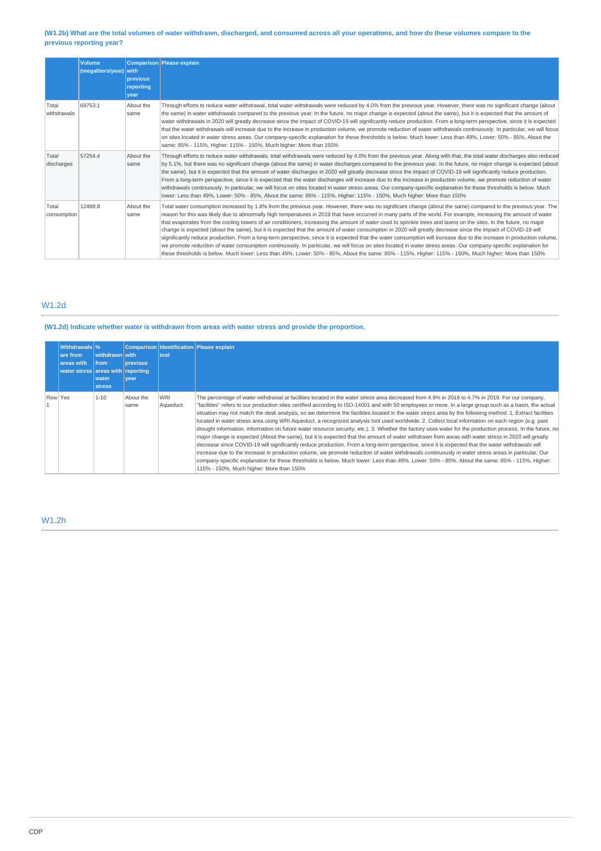### **(W1.2b) What are the total volumes of water withdrawn, discharged, and consumed across all your operations, and how do these volumes compare to the previous reporting year?**

|                      | <b>Volume</b><br>(megaliters/year) with | previous<br>reporting<br>vear | <b>Comparison Please explain</b>                                                                                                                                                                                                                                                                                                                                                                                                                                                                                                                                                                                                                                                                                                                                                                                                                                                                                                                                                                                                                                                                                                                                                 |
|----------------------|-----------------------------------------|-------------------------------|----------------------------------------------------------------------------------------------------------------------------------------------------------------------------------------------------------------------------------------------------------------------------------------------------------------------------------------------------------------------------------------------------------------------------------------------------------------------------------------------------------------------------------------------------------------------------------------------------------------------------------------------------------------------------------------------------------------------------------------------------------------------------------------------------------------------------------------------------------------------------------------------------------------------------------------------------------------------------------------------------------------------------------------------------------------------------------------------------------------------------------------------------------------------------------|
| Total<br>withdrawals | 69753.1                                 | About the<br>same             | Through efforts to reduce water withdrawal, total water withdrawals were reduced by 4.0% from the previous year. However, there was no significant change (about<br>the same) in water withdrawals compared to the previous year. In the future, no major change is expected (about the same), but it is expected that the amount of<br>water withdrawals in 2020 will greatly decrease since the impact of COVID-19 will significantly reduce production. From a long-term perspective, since it is expected<br>that the water withdrawals will increase due to the increase in production volume, we promote reduction of water withdrawals continuously. In particular, we will focus<br>on sites located in water stress areas. Our company-specific explanation for these thresholds is below. Much lower: Less than 49%, Lower: 50% - 85%, About the<br>same: 85% - 115%, Higher: 115% - 150%, Much higher: More than 150%                                                                                                                                                                                                                                                 |
| Total<br>discharges  | 57254.4                                 | About the<br>same             | Through efforts to reduce water withdrawals, total withdrawals were reduced by 4.0% from the previous year. Along with that, the total water discharges also reduced<br>by 5.1%, but there was no significant change (about the same) in water discharges compared to the previous year. In the future, no major change is expected (about<br>the same), but it is expected that the amount of water discharges in 2020 will greatly decrease since the impact of COVID-19 will significantly reduce production.<br>From a long-term perspective, since it is expected that the water discharges will increase due to the increase in production volume, we promote reduction of water<br>withdrawals continuously. In particular, we will focus on sites located in water stress areas. Our company-specific explanation for these thresholds is below. Much<br>lower: Less than 49%, Lower: 50% - 85%, About the same: 85% - 115%, Higher: 115% - 150%, Much higher: More than 150%                                                                                                                                                                                            |
| Total<br>consumption | 12498.8                                 | About the<br>same             | Total water consumption increased by 1.8% from the previous year. However, there was no significant change (about the same) compared to the previous year. The<br>reason for this was likely due to abnormally high temperatures in 2019 that have occurred in many parts of the world. For example, increasing the amount of water<br>that evaporates from the cooling towers of air conditioners, increasing the amount of water used to sprinkle trees and lawns on the sites. In the future, no major<br>change is expected (about the same), but it is expected that the amount of water consumption in 2020 will greatly decrease since the impact of COVID-19 will<br>significantly reduce production. From a long-term perspective, since it is expected that the water consumption will increase due to the increase in production volume,<br>we promote reduction of water consumption continuously. In particular, we will focus on sites located in water stress areas. Our company-specific explanation for<br>these thresholds is below. Much lower: Less than 49%, Lower: 50% - 85%, About the same: 85% - 115%, Higher: 115% - 150%, Much higher: More than 150% |

# W1.2d

# **(W1.2d) Indicate whether water is withdrawn from areas with water stress and provide the proportion.**

| Withdrawals \%<br>are from<br>areas with<br>water stress areas with reporting | withdrawn with<br><b>from</b><br>water<br><b>stress</b> | <b>previous</b><br><b>vear</b> | tool                   | Comparison Identification Please explain                                                                                                                                                                                                                                                                                                                                                                                                                                                                                                                                                                                                                                                                                                                                                                                                                                                                                                                                                                                                                                                                                                                                                                                                                                                                                                                                                                                                                 |
|-------------------------------------------------------------------------------|---------------------------------------------------------|--------------------------------|------------------------|----------------------------------------------------------------------------------------------------------------------------------------------------------------------------------------------------------------------------------------------------------------------------------------------------------------------------------------------------------------------------------------------------------------------------------------------------------------------------------------------------------------------------------------------------------------------------------------------------------------------------------------------------------------------------------------------------------------------------------------------------------------------------------------------------------------------------------------------------------------------------------------------------------------------------------------------------------------------------------------------------------------------------------------------------------------------------------------------------------------------------------------------------------------------------------------------------------------------------------------------------------------------------------------------------------------------------------------------------------------------------------------------------------------------------------------------------------|
| Row Yes                                                                       | $1 - 10$                                                | About the<br>same              | <b>WRI</b><br>Aqueduct | The percentage of water withdrawal at facilities located in the water stress area decreased from 4.9% in 2018 to 4.7% in 2019. For our company,<br>"facilities" refers to our production sites certified according to ISO-14001 and with 50 employees or more. In a large group such as a basin, the actual<br>situation may not match the desk analysis, so we determine the facilities located in the water stress area by the following method. 1. Extract facilities<br>located in water stress area using WRI Aqueduct, a recognized analysis tool used worldwide. 2. Collect local information on each region (e.g. past<br>drought information, information on future water resource security, etc.). 3. Whether the factory uses water for the production process. In the future, no<br>major change is expected (About the same), but it is expected that the amount of water withdrawn from areas with water stress in 2020 will greatly<br>decrease since COVID-19 will significantly reduce production. From a long-term perspective, since it is expected that the water withdrawals will<br>increase due to the increase in production volume, we promote reduction of water withdrawals continuously in water stress areas in particular. Our<br>company-specific explanation for these thresholds is below. Much lower: Less than 49%, Lower: 50% - 85%, About the same: 85% - 115%, Higher:<br>115% - 150%, Much higher: More than 150% |

# W1.2h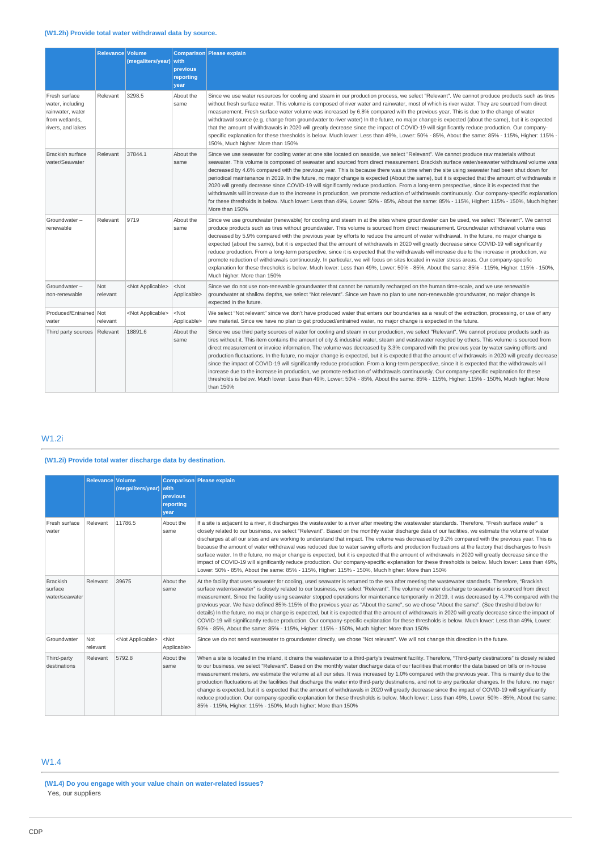|                                                                                              | <b>Relevance Volume</b> | (megaliters/year)         | with<br>previous<br>reporting<br>year | Comparison Please explain                                                                                                                                                                                                                                                                                                                                                                                                                                                                                                                                                                                                                                                                                                                                                                                                                                                                                                                                                                                                                               |
|----------------------------------------------------------------------------------------------|-------------------------|---------------------------|---------------------------------------|---------------------------------------------------------------------------------------------------------------------------------------------------------------------------------------------------------------------------------------------------------------------------------------------------------------------------------------------------------------------------------------------------------------------------------------------------------------------------------------------------------------------------------------------------------------------------------------------------------------------------------------------------------------------------------------------------------------------------------------------------------------------------------------------------------------------------------------------------------------------------------------------------------------------------------------------------------------------------------------------------------------------------------------------------------|
| Fresh surface<br>water, including<br>rainwater, water<br>from wetlands.<br>rivers, and lakes | Relevant                | 3298.5                    | About the<br>same                     | Since we use water resources for cooling and steam in our production process, we select "Relevant". We cannot produce products such as tires<br>without fresh surface water. This volume is composed of river water and rainwater, most of which is river water. They are sourced from direct<br>measurement. Fresh surface water volume was increased by 6.8% compared with the previous year. This is due to the change of water<br>withdrawal source (e.g. change from groundwater to river water) In the future, no major change is expected (about the same), but it is expected<br>that the amount of withdrawals in 2020 will greatly decrease since the impact of COVID-19 will significantly reduce production. Our company-<br>specific explanation for these thresholds is below. Much lower: Less than 49%, Lower: 50% - 85%, About the same: 85% - 115%, Higher: 115% -<br>150%, Much higher: More than 150%                                                                                                                               |
| <b>Brackish surface</b><br>water/Seawater                                                    | Relevant                | 37844.1                   | About the<br>same                     | Since we use seawater for cooling water at one site located on seaside, we select "Relevant". We cannot produce raw materials without<br>seawater. This volume is composed of seawater and sourced from direct measurement. Brackish surface water/seawater withdrawal volume was<br>decreased by 4.6% compared with the previous year. This is because there was a time when the site using seawater had been shut down for<br>periodical maintenance in 2019. In the future, no major change is expected (About the same), but it is expected that the amount of withdrawals in<br>2020 will greatly decrease since COVID-19 will significantly reduce production. From a long-term perspective, since it is expected that the<br>withdrawals will increase due to the increase in production, we promote reduction of withdrawals continuously. Our company-specific explanation<br>for these thresholds is below. Much lower: Less than 49%, Lower: 50% - 85%, About the same: 85% - 115%, Higher: 115% - 150%, Much higher:<br>More than 150%      |
| Groundwater-<br>renewable                                                                    | Relevant                | 9719                      | About the<br>same                     | Since we use groundwater (renewable) for cooling and steam in at the sites where groundwater can be used, we select "Relevant". We cannot<br>produce products such as tires without groundwater. This volume is sourced from direct measurement. Groundwater withdrawal volume was<br>decreased by 5.9% compared with the previous year by efforts to reduce the amount of water withdrawal. In the future, no major change is<br>expected (about the same), but it is expected that the amount of withdrawals in 2020 will greatly decrease since COVID-19 will significantly<br>reduce production. From a long-term perspective, since it is expected that the withdrawals will increase due to the increase in production, we<br>promote reduction of withdrawals continuously. In particular, we will focus on sites located in water stress areas. Our company-specific<br>explanation for these thresholds is below. Much lower: Less than 49%, Lower: 50% - 85%, About the same: 85% - 115%, Higher: 115% - 150%,<br>Much higher: More than 150% |
| Groundwater-<br>non-renewable                                                                | <b>Not</b><br>relevant  | <not applicable=""></not> | $<$ Not<br>Applicable>                | Since we do not use non-renewable groundwater that cannot be naturally recharged on the human time-scale, and we use renewable<br>groundwater at shallow depths, we select "Not relevant". Since we have no plan to use non-renewable groundwater, no major change is<br>expected in the future.                                                                                                                                                                                                                                                                                                                                                                                                                                                                                                                                                                                                                                                                                                                                                        |
| Produced/Entrained Not<br>water                                                              | relevant                | <not applicable=""></not> | $<$ Not<br>Applicable>                | We select "Not relevant" since we don't have produced water that enters our boundaries as a result of the extraction, processing, or use of any<br>raw material. Since we have no plan to get produced/entrained water, no major change is expected in the future.                                                                                                                                                                                                                                                                                                                                                                                                                                                                                                                                                                                                                                                                                                                                                                                      |
| Third party sources                                                                          | Relevant                | 18891.6                   | About the<br>same                     | Since we use third party sources of water for cooling and steam in our production, we select "Relevant". We cannot produce products such as<br>tires without it. This item contains the amount of city & industrial water, steam and wastewater recycled by others. This volume is sourced from<br>direct measurement or invoice information. The volume was decreased by 3.3% compared with the previous year by water saving efforts and<br>production fluctuations. In the future, no major change is expected, but it is expected that the amount of withdrawals in 2020 will greatly decrease<br>since the impact of COVID-19 will significantly reduce production. From a long-term perspective, since it is expected that the withdrawals will<br>increase due to the increase in production, we promote reduction of withdrawals continuously. Our company-specific explanation for these<br>thresholds is below. Much lower: Less than 49%, Lower: 50% - 85%, About the same: 85% - 115%, Higher: 115% - 150%, Much higher: More<br>than 150%  |

# W1.2i

### **(W1.2i) Provide total water discharge data by destination.**

|                                              | Relevance Volume | (megaliters/year) with    | previous<br>reporting<br>year | Comparison Please explain                                                                                                                                                                                                                                                                                                                                                                                                                                                                                                                                                                                                                                                                                                                                                                                                                                                                                                                                                                                                               |
|----------------------------------------------|------------------|---------------------------|-------------------------------|-----------------------------------------------------------------------------------------------------------------------------------------------------------------------------------------------------------------------------------------------------------------------------------------------------------------------------------------------------------------------------------------------------------------------------------------------------------------------------------------------------------------------------------------------------------------------------------------------------------------------------------------------------------------------------------------------------------------------------------------------------------------------------------------------------------------------------------------------------------------------------------------------------------------------------------------------------------------------------------------------------------------------------------------|
| Fresh surface<br>water                       | Relevant         | 11786.5                   | About the<br>same             | If a site is adjacent to a river, it discharges the wastewater to a river after meeting the wastewater standards. Therefore, "Fresh surface water" is<br>closely related to our business, we select "Relevant". Based on the monthly water discharge data of our facilities, we estimate the volume of water<br>discharges at all our sites and are working to understand that impact. The volume was decreased by 9.2% compared with the previous year. This is<br>because the amount of water withdrawal was reduced due to water saving efforts and production fluctuations at the factory that discharges to fresh<br>surface water. In the future, no major change is expected, but it is expected that the amount of withdrawals in 2020 will greatly decrease since the<br>impact of COVID-19 will significantly reduce production. Our company-specific explanation for these thresholds is below. Much lower: Less than 49%,<br>Lower: 50% - 85%, About the same: 85% - 115%, Higher: 115% - 150%, Much higher: More than 150% |
| <b>Brackish</b><br>surface<br>water/seawater | Relevant         | 39675                     | About the<br>same             | At the facility that uses seawater for cooling, used seawater is returned to the sea after meeting the wastewater standards. Therefore, "Brackish<br>surface water/seawater" is closely related to our business, we select "Relevant". The volume of water discharge to seawater is sourced from direct<br>measurement. Since the facility using seawater stopped operations for maintenance temporarily in 2019, it was decreased by 4.7% compared with the<br>previous year. We have defined 85%-115% of the previous year as "About the same", so we chose "About the same". (See threshold below for<br>details) In the future, no major change is expected, but it is expected that the amount of withdrawals in 2020 will greatly decrease since the impact of<br>COVID-19 will significantly reduce production. Our company-specific explanation for these thresholds is below. Much lower: Less than 49%, Lower:<br>50% - 85%, About the same: 85% - 115%, Higher: 115% - 150%, Much higher: More than 150%                     |
| Groundwater                                  | Not<br>relevant  | <not applicable=""></not> | $<$ Not<br>Applicable>        | Since we do not send wastewater to groundwater directly, we chose "Not relevant". We will not change this direction in the future.                                                                                                                                                                                                                                                                                                                                                                                                                                                                                                                                                                                                                                                                                                                                                                                                                                                                                                      |
| Third-party<br>destinations                  | Relevant         | 5792.8                    | About the<br>same             | When a site is located in the inland, it drains the wastewater to a third-party's treatment facility. Therefore, "Third-party destinations" is closely related<br>to our business, we select "Relevant". Based on the monthly water discharge data of our facilities that monitor the data based on bills or in-house<br>measurement meters, we estimate the volume at all our sites. It was increased by 1.0% compared with the previous year. This is mainly due to the<br>production fluctuations at the facilities that discharge the water into third-party destinations, and not to any particular changes. In the future, no major<br>change is expected, but it is expected that the amount of withdrawals in 2020 will greatly decrease since the impact of COVID-19 will significantly<br>reduce production. Our company-specific explanation for these thresholds is below. Much lower: Less than 49%, Lower: 50% - 85%, About the same:<br>85% - 115%, Higher: 115% - 150%, Much higher: More than 150%                     |

# W1.4

**(W1.4) Do you engage with your value chain on water-related issues?** Yes, our suppliers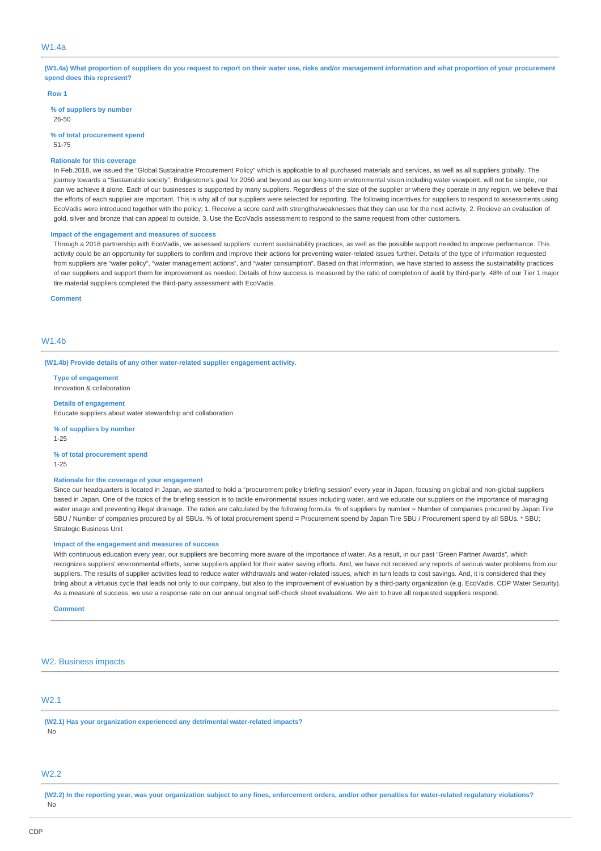#### W1.4a

**(W1.4a) What proportion of suppliers do you request to report on their water use, risks and/or management information and what proportion of your procurement spend does this represent?**

#### **Row 1**

**% of suppliers by number** 26-50

**% of total procurement spend**

51-75

#### **Rationale for this coverage**

In Feb.2018, we issued the "Global Sustainable Procurement Policy" which is applicable to all purchased materials and services, as well as all suppliers globally. The journey towards a "Sustainable society", Bridgestone's goal for 2050 and beyond as our long-term environmental vision including water viewpoint, will not be simple, nor can we achieve it alone. Each of our businesses is supported by many suppliers. Regardless of the size of the supplier or where they operate in any region, we believe that the efforts of each supplier are important. This is why all of our suppliers were selected for reporting. The following incentives for suppliers to respond to assessments using EcoVadis were introduced together with the policy; 1. Receive a score card with strengths/weaknesses that they can use for the next activity, 2. Recieve an evaluation of gold, silver and bronze that can appeal to outside, 3. Use the EcoVadis assessment to respond to the same request from other customers.

#### **Impact of the engagement and measures of success**

Through a 2018 partnership with EcoVadis, we assessed suppliers' current sustainability practices, as well as the possible support needed to improve performance. This activity could be an opportunity for suppliers to confirm and improve their actions for preventing water-related issues further. Details of the type of information requested from suppliers are "water policy", "water management actions", and "water consumption". Based on that information, we have started to assess the sustainability practices of our suppliers and support them for improvement as needed. Details of how success is measured by the ratio of completion of audit by third-party. 48% of our Tier 1 major tire material suppliers completed the third-party assessment with EcoVadis.

**Comment**

#### $M1.4<sub>h</sub>$

**(W1.4b) Provide details of any other water-related supplier engagement activity.**

**Type of engagement** Innovation & collaboration

#### **Details of engagement**

Educate suppliers about water stewardship and collaboration

**% of suppliers by number** 1-25

**% of total procurement spend** 1-25

#### **Rationale for the coverage of your engagement**

Since our headquarters is located in Japan, we started to hold a "procurement policy briefing session" every year in Japan, focusing on global and non-global suppliers based in Japan. One of the topics of the briefing session is to tackle environmental issues including water, and we educate our suppliers on the importance of managing water usage and preventing illegal drainage. The ratios are calculated by the following formula. % of suppliers by number = Number of companies procured by Japan Tire SBU / Number of companies procured by all SBUs. % of total procurement spend = Procurement spend by Japan Tire SBU / Procurement spend by all SBUs. \* SBU; Strategic Business Unit

#### **Impact of the engagement and measures of success**

With continuous education every year, our suppliers are becoming more aware of the importance of water. As a result, in our past "Green Partner Awards", which recognizes suppliers' environmental efforts, some suppliers applied for their water saving efforts. And, we have not received any reports of serious water problems from our suppliers. The results of supplier activities lead to reduce water withdrawals and water-related issues, which in turn leads to cost savings. And, it is considered that they bring about a virtuous cycle that leads not only to our company, but also to the improvement of evaluation by a third-party organization (e.g. EcoVadis, CDP Water Security) As a measure of success, we use a response rate on our annual original self-check sheet evaluations. We aim to have all requested suppliers respond.

#### **Comment**

#### W<sub>2</sub>. Business impacts

# W2.1

**(W2.1) Has your organization experienced any detrimental water-related impacts?** No

#### W2.2

**(W2.2) In the reporting year, was your organization subject to any fines, enforcement orders, and/or other penalties for water-related regulatory violations?** No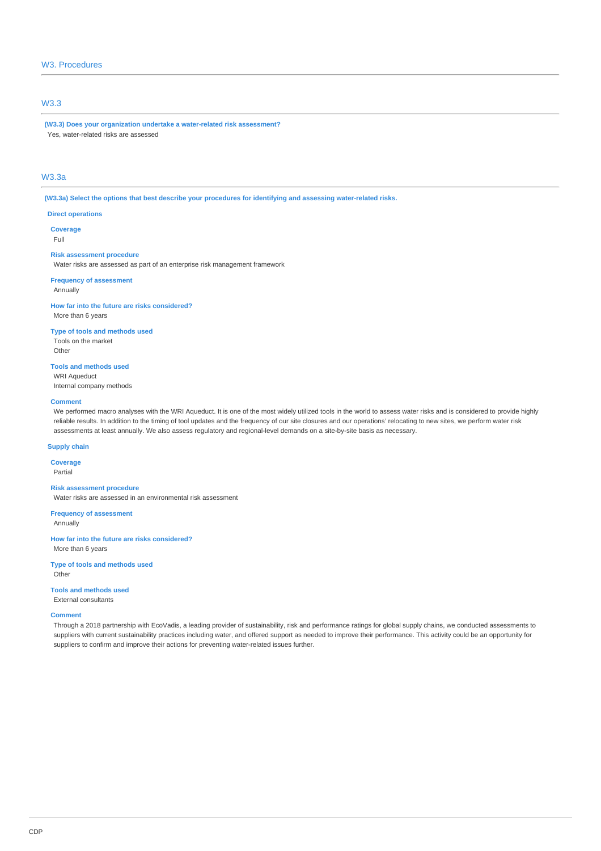## W3. Procedures

### W3.3

**(W3.3) Does your organization undertake a water-related risk assessment?** Yes, water-related risks are assessed

## W3.3a

**(W3.3a) Select the options that best describe your procedures for identifying and assessing water-related risks.**

#### **Direct operations**

**Coverage** Full

#### **Risk assessment procedure**

Water risks are assessed as part of an enterprise risk management framework

#### **Frequency of assessment** Annually

**How far into the future are risks considered?** More than 6 years

#### **Type of tools and methods used**

Tools on the market Other

**Tools and methods used** WRI Aqueduct

Internal company methods

### **Comment**

We performed macro analyses with the WRI Aqueduct. It is one of the most widely utilized tools in the world to assess water risks and is considered to provide highly reliable results. In addition to the timing of tool updates and the frequency of our site closures and our operations' relocating to new sites, we perform water risk assessments at least annually. We also assess regulatory and regional-level demands on a site-by-site basis as necessary.

### **Supply chain**

**Coverage** Partial

#### **Risk assessment procedure**

Water risks are assessed in an environmental risk assessment

**Frequency of assessment**

Annually

**How far into the future are risks considered?** More than 6 years

**Type of tools and methods used** Other

#### **Tools and methods used** External consultants

#### **Comment**

Through a 2018 partnership with EcoVadis, a leading provider of sustainability, risk and performance ratings for global supply chains, we conducted assessments to suppliers with current sustainability practices including water, and offered support as needed to improve their performance. This activity could be an opportunity for suppliers to confirm and improve their actions for preventing water-related issues further.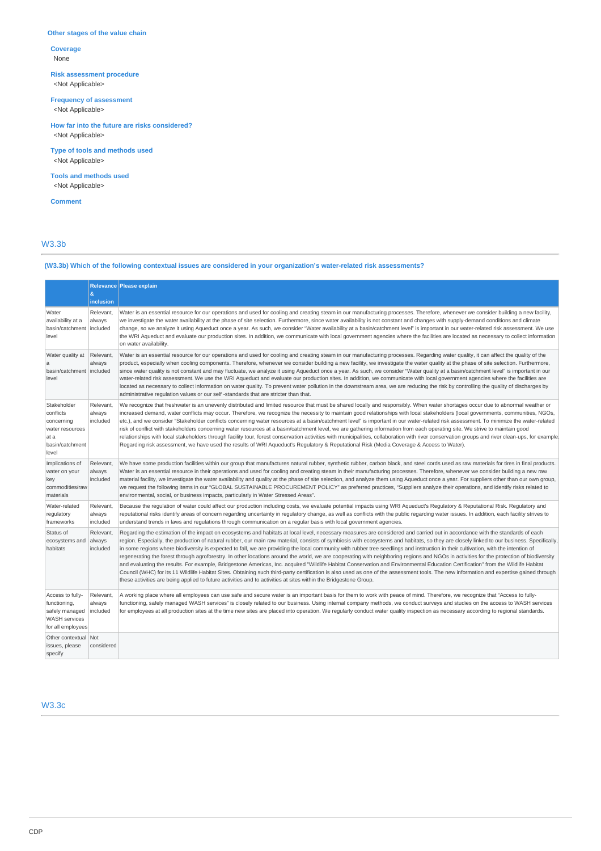### **Other stages of the value chain**

**Coverage** None

**Risk assessment procedure** <Not Applicable>

**Frequency of assessment**

<Not Applicable>

**How far into the future are risks considered?** <Not Applicable>

**Type of tools and methods used** <Not Applicable>

**Tools and methods used** <Not Applicable>

**Comment**

### W3.3b

# **(W3.3b) Which of the following contextual issues are considered in your organization's water-related risk assessments?**

|                                                                                                 | &                               | Relevance Please explain                                                                                                                                                                                                                                                                                                                                                                                                                                                                                                                                                                                                                                                                                                                                                                                                                                                                                                                                                                                                                                                                                                                                                                                                                                         |
|-------------------------------------------------------------------------------------------------|---------------------------------|------------------------------------------------------------------------------------------------------------------------------------------------------------------------------------------------------------------------------------------------------------------------------------------------------------------------------------------------------------------------------------------------------------------------------------------------------------------------------------------------------------------------------------------------------------------------------------------------------------------------------------------------------------------------------------------------------------------------------------------------------------------------------------------------------------------------------------------------------------------------------------------------------------------------------------------------------------------------------------------------------------------------------------------------------------------------------------------------------------------------------------------------------------------------------------------------------------------------------------------------------------------|
|                                                                                                 | inclusion                       |                                                                                                                                                                                                                                                                                                                                                                                                                                                                                                                                                                                                                                                                                                                                                                                                                                                                                                                                                                                                                                                                                                                                                                                                                                                                  |
| Water<br>availability at a<br>basin/catchment<br>level                                          | Relevant,<br>always<br>included | Water is an essential resource for our operations and used for cooling and creating steam in our manufacturing processes. Therefore, whenever we consider building a new facility,<br>we investigate the water availability at the phase of site selection. Furthermore, since water availability is not constant and changes with supply-demand conditions and climate<br>change, so we analyze it using Aqueduct once a year. As such, we consider "Water availability at a basin/catchment level" is important in our water-related risk assessment. We use<br>the WRI Aqueduct and evaluate our production sites. In addition, we communicate with local government agencies where the facilities are located as necessary to collect information<br>on water availability.                                                                                                                                                                                                                                                                                                                                                                                                                                                                                  |
| Water quality at<br>a<br>basin/catchment<br>level                                               | Relevant,<br>always<br>included | Water is an essential resource for our operations and used for cooling and creating steam in our manufacturing processes. Regarding water quality, it can affect the quality of the<br>product, especially when cooling components. Therefore, whenever we consider building a new facility, we investigate the water quality at the phase of site selection. Furthermore,<br>since water quality is not constant and may fluctuate, we analyze it using Aqueduct once a year. As such, we consider "Water quality at a basin/catchment level" is important in our<br>water-related risk assessment. We use the WRI Aqueduct and evaluate our production sites. In addition, we communicate with local government agencies where the facilities are<br>located as necessary to collect information on water quality. To prevent water pollution in the downstream area, we are reducing the risk by controlling the quality of discharges by<br>administrative regulation values or our self-standards that are stricter than that.                                                                                                                                                                                                                              |
| Stakeholder<br>conflicts<br>concerning<br>water resources<br>at a<br>basin/catchment<br>level   | Relevant,<br>always<br>included | We recognize that freshwater is an unevenly distributed and limited resource that must be shared locally and responsibly. When water shortages occur due to abnormal weather or<br>increased demand, water conflicts may occur. Therefore, we recognize the necessity to maintain good relationships with local stakeholders (local governments, communities, NGOs,<br>etc.), and we consider "Stakeholder conflicts concerning water resources at a basin/catchment level" is important in our water-related risk assessment. To minimize the water-related<br>risk of conflict with stakeholders concerning water resources at a basin/catchment level, we are gathering information from each operating site. We strive to maintain good<br>relationships with local stakeholders through facility tour, forest conservation activities with municipalities, collaboration with river conservation groups and river clean-ups, for example<br>Regarding risk assessment, we have used the results of WRI Aqueduct's Regulatory & Reputational Risk (Media Coverage & Access to Water).                                                                                                                                                                        |
| Implications of<br>water on your<br>key<br>commodities/raw<br>materials                         | Relevant,<br>always<br>included | We have some production facilities within our group that manufactures natural rubber, synthetic rubber, carbon black, and steel cords used as raw materials for tires in final products.<br>Water is an essential resource in their operations and used for cooling and creating steam in their manufacturing processes. Therefore, whenever we consider building a new raw<br>material facility, we investigate the water availability and quality at the phase of site selection, and analyze them using Aqueduct once a year. For suppliers other than our own group,<br>we request the following items in our "GLOBAL SUSTAINABLE PROCUREMENT POLICY" as preferred practices, "Suppliers analyze their operations, and identify risks related to<br>environmental, social, or business impacts, particularly in Water Stressed Areas".                                                                                                                                                                                                                                                                                                                                                                                                                       |
| Water-related<br>regulatory<br>frameworks                                                       | Relevant,<br>always<br>included | Because the regulation of water could affect our production including costs, we evaluate potential impacts using WRI Aqueduct's Regulatory & Reputational Risk. Regulatory and<br>reputational risks identify areas of concern regarding uncertainty in regulatory change, as well as conflicts with the public regarding water issues. In addition, each facility strives to<br>understand trends in laws and regulations through communication on a regular basis with local government agencies.                                                                                                                                                                                                                                                                                                                                                                                                                                                                                                                                                                                                                                                                                                                                                              |
| Status of<br>ecosystems and<br>habitats                                                         | Relevant,<br>always<br>included | Regarding the estimation of the impact on ecosystems and habitats at local level, necessary measures are considered and carried out in accordance with the standards of each<br>region. Especially, the production of natural rubber, our main raw material, consists of symbiosis with ecosystems and habitats, so they are closely linked to our business. Specifically,<br>in some regions where biodiversity is expected to fall, we are providing the local community with rubber tree seedlings and instruction in their cultivation, with the intention of<br>regenerating the forest through agroforestry. In other locations around the world, we are cooperating with neighboring regions and NGOs in activities for the protection of biodiversity<br>and evaluating the results. For example, Bridgestone Americas, Inc. acquired "Wildlife Habitat Conservation and Environmental Education Certification" from the Wildlife Habitat<br>Council (WHC) for its 11 Wildlife Habitat Sites. Obtaining such third-party certification is also used as one of the assessment tools. The new information and expertise gained through<br>these activities are being applied to future activities and to activities at sites within the Bridgestone Group. |
| Access to fully-<br>functioning,<br>safely managed<br><b>WASH</b> services<br>for all employees | Relevant,<br>always<br>included | A working place where all employees can use safe and secure water is an important basis for them to work with peace of mind. Therefore, we recognize that "Access to fully-<br>functioning, safely managed WASH services" is closely related to our business. Using internal company methods, we conduct surveys and studies on the access to WASH services<br>for employees at all production sites at the time new sites are placed into operation. We reqularly conduct water quality inspection as necessary according to regional standards.                                                                                                                                                                                                                                                                                                                                                                                                                                                                                                                                                                                                                                                                                                                |
| Other contextual<br>issues, please<br>specify                                                   | Not<br>considered               |                                                                                                                                                                                                                                                                                                                                                                                                                                                                                                                                                                                                                                                                                                                                                                                                                                                                                                                                                                                                                                                                                                                                                                                                                                                                  |

W3.3c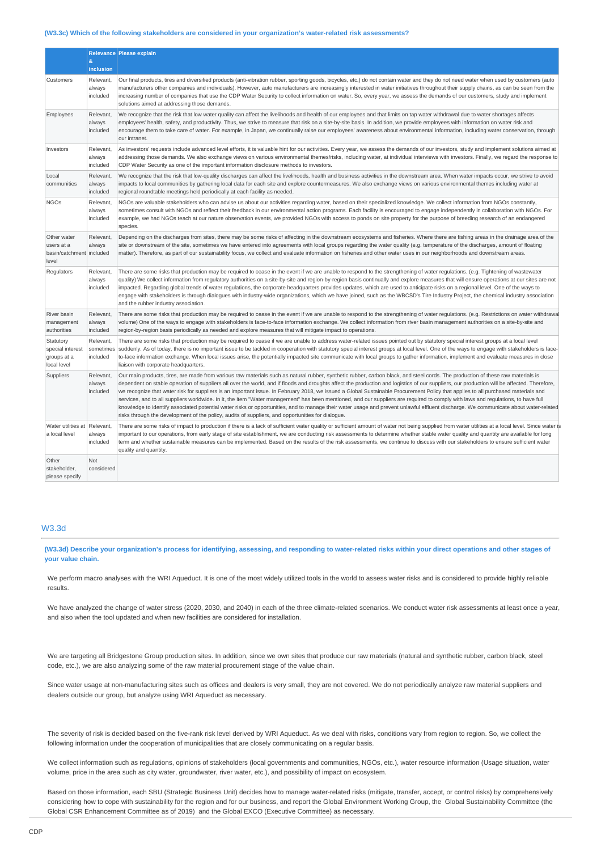#### **(W3.3c) Which of the following stakeholders are considered in your organization's water-related risk assessments?**

|                                                                | &<br>inclusion                     | Relevance Please explain                                                                                                                                                                                                                                                                                                                                                                                                                                                                                                                                                                                                                                                                                                                                                                                                                                                                                                                                                                                                                              |
|----------------------------------------------------------------|------------------------------------|-------------------------------------------------------------------------------------------------------------------------------------------------------------------------------------------------------------------------------------------------------------------------------------------------------------------------------------------------------------------------------------------------------------------------------------------------------------------------------------------------------------------------------------------------------------------------------------------------------------------------------------------------------------------------------------------------------------------------------------------------------------------------------------------------------------------------------------------------------------------------------------------------------------------------------------------------------------------------------------------------------------------------------------------------------|
| Customers                                                      | Relevant,<br>always<br>included    | Our final products, tires and diversified products (anti-vibration rubber, sporting goods, bicycles, etc.) do not contain water and they do not need water when used by customers (auto<br>manufacturers other companies and individuals). However, auto manufacturers are increasingly interested in water initiatives throughout their supply chains, as can be seen from the<br>increasing number of companies that use the CDP Water Security to collect information on water. So, every year, we assess the demands of our customers, study and implement<br>solutions aimed at addressing those demands.                                                                                                                                                                                                                                                                                                                                                                                                                                        |
| Employees                                                      | Relevant,<br>always<br>included    | We recognize that the risk that low water quality can affect the livelihoods and health of our employees and that limits on tap water withdrawal due to water shortages affects<br>employees' health, safety, and productivity. Thus, we strive to measure that risk on a site-by-site basis. In addition, we provide employees with information on water risk and<br>encourage them to take care of water. For example, in Japan, we continually raise our employees' awareness about environmental information, including water conservation, through<br>our intranet.                                                                                                                                                                                                                                                                                                                                                                                                                                                                              |
| Investors                                                      | Relevant,<br>always<br>included    | As investors' requests include advanced level efforts, it is valuable hint for our activities. Every year, we assess the demands of our investors, study and implement solutions aimed at<br>addressing those demands. We also exchange views on various environmental themes/risks, including water, at individual interviews with investors. Finally, we regard the response to<br>CDP Water Security as one of the important information disclosure methods to investors.                                                                                                                                                                                                                                                                                                                                                                                                                                                                                                                                                                          |
| Local<br>communities                                           | Relevant,<br>always<br>included    | We recognize that the risk that low-quality discharges can affect the livelihoods, health and business activities in the downstream area. When water impacts occur, we strive to avoid<br>impacts to local communities by gathering local data for each site and explore countermeasures. We also exchange views on various environmental themes including water at<br>regional roundtable meetings held periodically at each facility as needed.                                                                                                                                                                                                                                                                                                                                                                                                                                                                                                                                                                                                     |
| <b>NGOs</b>                                                    | Relevant,<br>always<br>included    | NGOs are valuable stakeholders who can advise us about our activities regarding water, based on their specialized knowledge. We collect information from NGOs constantly,<br>sometimes consult with NGOs and reflect their feedback in our environmental action programs. Each facility is encouraged to engage independently in collaboration with NGOs. For<br>example, we had NGOs teach at our nature observation events, we provided NGOs with access to ponds on site property for the purpose of breeding research of an endangered<br>species.                                                                                                                                                                                                                                                                                                                                                                                                                                                                                                |
| Other water<br>users at a<br>basin/catchment included<br>level | Relevant,<br>always                | Depending on the discharges from sites, there may be some risks of affecting in the downstream ecosystems and fisheries. Where there are fishing areas in the drainage area of the<br>site or downstream of the site, sometimes we have entered into agreements with local groups regarding the water quality (e.g. temperature of the discharges, amount of floating<br>matter). Therefore, as part of our sustainability focus, we collect and evaluate information on fisheries and other water uses in our neighborhoods and downstream areas.                                                                                                                                                                                                                                                                                                                                                                                                                                                                                                    |
| Regulators                                                     | Relevant,<br>always<br>included    | There are some risks that production may be required to cease in the event if we are unable to respond to the strengthening of water regulations. (e.g. Tightening of wastewater<br>quality) We collect information from requlatory authorities on a site-by-site and region-by-region basis continually and explore measures that will ensure operations at our sites are not<br>impacted. Regarding global trends of water regulations, the corporate headquarters provides updates, which are used to anticipate risks on a regional level. One of the ways to<br>engage with stakeholders is through dialogues with industry-wide organizations, which we have joined, such as the WBCSD's Tire Industry Project, the chemical industry association<br>and the rubber industry association.                                                                                                                                                                                                                                                       |
| River basin<br>management<br>authorities                       | Relevant,<br>always<br>included    | There are some risks that production may be required to cease in the event if we are unable to respond to the strengthening of water requlations. (e.g. Restrictions on water withdrawal<br>volume) One of the ways to engage with stakeholders is face-to-face information exchange. We collect information from river basin management authorities on a site-by-site and<br>region-by-region basis periodically as needed and explore measures that will mitigate impact to operations.                                                                                                                                                                                                                                                                                                                                                                                                                                                                                                                                                             |
| Statutory<br>special interest<br>groups at a<br>local level    | Relevant,<br>sometimes<br>included | There are some risks that production may be required to cease if we are unable to address water-related issues pointed out by statutory special interest groups at a local level<br>suddenly. As of today, there is no important issue to be tackled in cooperation with statutory special interest groups at local level. One of the ways to engage with stakeholders is face-<br>to-face information exchange. When local issues arise, the potentially impacted site communicate with local groups to gather information, implement and evaluate measures in close<br>liaison with corporate headquarters.                                                                                                                                                                                                                                                                                                                                                                                                                                         |
| Suppliers                                                      | Relevant,<br>always<br>included    | Our main products, tires, are made from various raw materials such as natural rubber, synthetic rubber, carbon black, and steel cords. The production of these raw materials is<br>dependent on stable operation of suppliers all over the world, and if floods and droughts affect the production and logistics of our suppliers, our production will be affected. Therefore,<br>we recognize that water risk for suppliers is an important issue. In February 2018, we issued a Global Sustainable Procurement Policy that applies to all purchased materials and<br>services, and to all suppliers worldwide. In it, the item "Water management" has been mentioned, and our suppliers are required to comply with laws and regulations, to have full<br>knowledge to identify associated potential water risks or opportunities, and to manage their water usage and prevent unlawful effluent discharge. We communicate about water-related<br>risks through the development of the policy, audits of suppliers, and opportunities for dialogue. |
| Water utilities at Relevant,<br>a local level                  | always<br>included                 | There are some risks of impact to production if there is a lack of sufficient water quality or sufficient amount of water not being supplied from water utilities at a local level. Since water is<br>important to our operations, from early stage of site establishment, we are conducting risk assessments to determine whether stable water quality and quantity are available for long<br>term and whether sustainable measures can be implemented. Based on the results of the risk assessments, we continue to discuss with our stakeholders to ensure sufficient water<br>quality and quantity.                                                                                                                                                                                                                                                                                                                                                                                                                                               |
| Other<br>stakeholder,<br>please specify                        | <b>Not</b><br>considered           |                                                                                                                                                                                                                                                                                                                                                                                                                                                                                                                                                                                                                                                                                                                                                                                                                                                                                                                                                                                                                                                       |

### W3.3d

**(W3.3d) Describe your organization's process for identifying, assessing, and responding to water-related risks within your direct operations and other stages of your value chain.**

We perform macro analyses with the WRI Aqueduct. It is one of the most widely utilized tools in the world to assess water risks and is considered to provide highly reliable results.

We have analyzed the change of water stress (2020, 2030, and 2040) in each of the three climate-related scenarios. We conduct water risk assessments at least once a year, and also when the tool updated and when new facilities are considered for installation.

We are targeting all Bridgestone Group production sites. In addition, since we own sites that produce our raw materials (natural and synthetic rubber, carbon black, steel code, etc.), we are also analyzing some of the raw material procurement stage of the value chain.

Since water usage at non-manufacturing sites such as offices and dealers is very small, they are not covered. We do not periodically analyze raw material suppliers and dealers outside our group, but analyze using WRI Aqueduct as necessary.

The severity of risk is decided based on the five-rank risk level derived by WRI Aqueduct. As we deal with risks, conditions vary from region to region. So, we collect the following information under the cooperation of municipalities that are closely communicating on a regular basis.

We collect information such as regulations, opinions of stakeholders (local governments and communities, NGOs, etc.), water resource information (Usage situation, water volume, price in the area such as city water, groundwater, river water, etc.), and possibility of impact on ecosystem.

Based on those information, each SBU (Strategic Business Unit) decides how to manage water-related risks (mitigate, transfer, accept, or control risks) by comprehensively considering how to cope with sustainability for the region and for our business, and report the Global Environment Working Group, the Global Sustainability Committee (the Global CSR Enhancement Committee as of 2019) and the Global EXCO (Executive Committee) as necessary.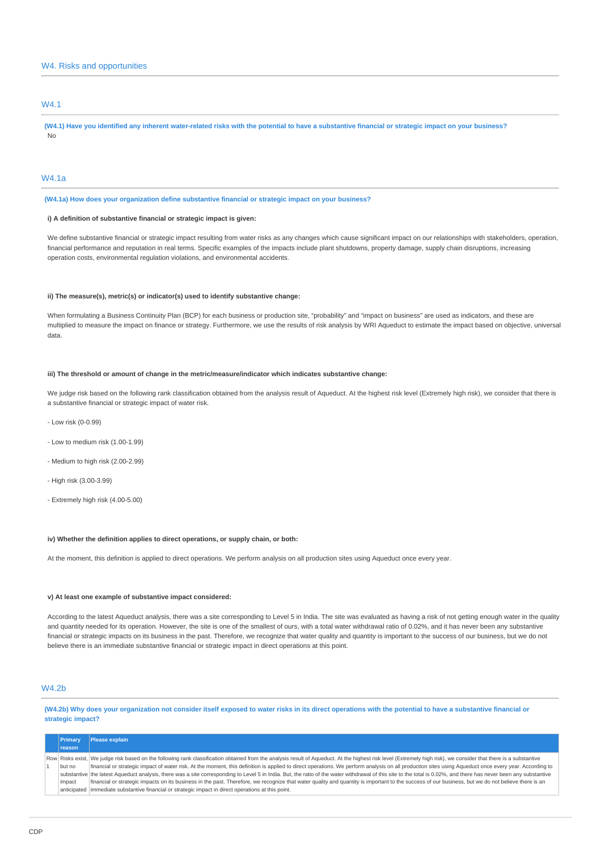### W4. Risks and opportunities

### W4.1

**(W4.1) Have you identified any inherent water-related risks with the potential to have a substantive financial or strategic impact on your business?** No

#### W4.1a

**(W4.1a) How does your organization define substantive financial or strategic impact on your business?**

### **i) A definition of substantive financial or strategic impact is given:**

We define substantive financial or strategic impact resulting from water risks as any changes which cause significant impact on our relationships with stakeholders, operation, financial performance and reputation in real terms. Specific examples of the impacts include plant shutdowns, property damage, supply chain disruptions, increasing operation costs, environmental regulation violations, and environmental accidents.

#### **ii) The measure(s), metric(s) or indicator(s) used to identify substantive change:**

When formulating a Business Continuity Plan (BCP) for each business or production site, "probability" and "impact on business" are used as indicators, and these are multiplied to measure the impact on finance or strategy. Furthermore, we use the results of risk analysis by WRI Aqueduct to estimate the impact based on objective, universal data.

#### **iii) The threshold or amount of change in the metric/measure/indicator which indicates substantive change:**

We judge risk based on the following rank classification obtained from the analysis result of Aqueduct. At the highest risk level (Extremely high risk), we consider that there is a substantive financial or strategic impact of water risk.

- Low risk (0-0.99)
- Low to medium risk (1.00-1.99)
- Medium to high risk (2.00-2.99)
- High risk (3.00-3.99)
- Extremely high risk (4.00-5.00)

#### **iv) Whether the definition applies to direct operations, or supply chain, or both:**

At the moment, this definition is applied to direct operations. We perform analysis on all production sites using Aqueduct once every year.

#### **v) At least one example of substantive impact considered:**

According to the latest Aqueduct analysis, there was a site corresponding to Level 5 in India. The site was evaluated as having a risk of not getting enough water in the quality and quantity needed for its operation. However, the site is one of the smallest of ours, with a total water withdrawal ratio of 0.02%, and it has never been any substantive financial or strategic impacts on its business in the past. Therefore, we recognize that water quality and quantity is important to the success of our business, but we do not believe there is an immediate substantive financial or strategic impact in direct operations at this point.

### W4.2b

**(W4.2b) Why does your organization not consider itself exposed to water risks in its direct operations with the potential to have a substantive financial or strategic impact?**

| Primary  | Please explain                                                                                                                                                                                                    |
|----------|-------------------------------------------------------------------------------------------------------------------------------------------------------------------------------------------------------------------|
| reason   |                                                                                                                                                                                                                   |
|          | Row Risks exist, We judge risk based on the following rank classification obtained from the analysis result of Aqueduct. At the highest risk level (Extremely high risk), we consider that there is a substantive |
| l but no | financial or strategic impact of water risk. At the moment, this definition is applied to direct operations. We perform analysis on all production sites using Aqueduct once every year. According to             |
|          | substantive the latest Aqueduct analysis, there was a site corresponding to Level 5 in India. But, the ratio of the water withdrawal of this site to the total is 0.02%, and there has never been any substantive |
| impact   | financial or strategic impacts on its business in the past. Therefore, we recognize that water quality and quantity is important to the success of our business, but we do not believe there is an                |
|          | anticipated immediate substantive financial or strategic impact in direct operations at this point.                                                                                                               |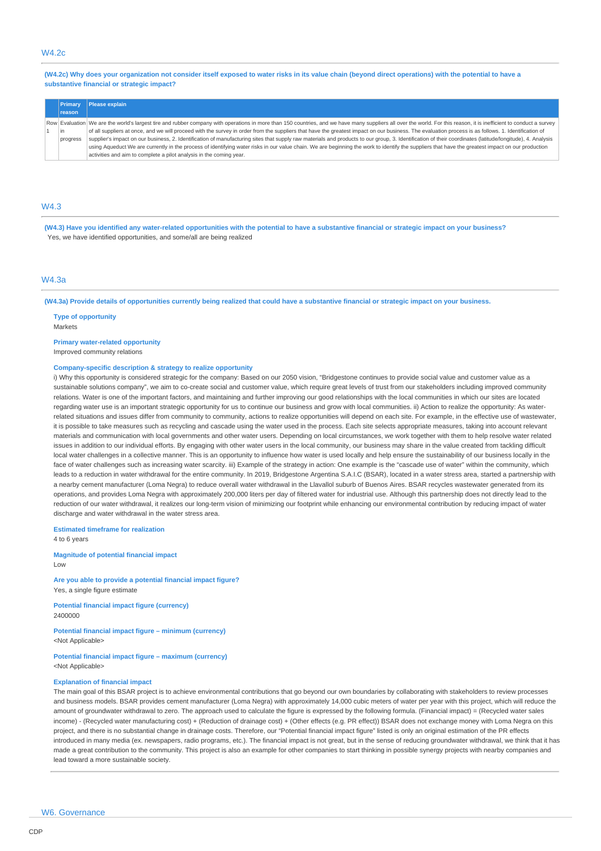### W4.2c

**(W4.2c) Why does your organization not consider itself exposed to water risks in its value chain (beyond direct operations) with the potential to have a substantive financial or strategic impact?**

| <b>Primary</b> | Please explain                                                                                                                                                                                                        |
|----------------|-----------------------------------------------------------------------------------------------------------------------------------------------------------------------------------------------------------------------|
| reason         |                                                                                                                                                                                                                       |
|                | Row Evaluation   We are the world's largest tire and rubber company with operations in more than 150 countries, and we have many suppliers all over the world. For this reason, it is inefficient to conduct a survey |
| lin            | of all suppliers at once, and we will proceed with the survey in order from the suppliers that have the greatest impact on our business. The evaluation process is as follows. 1. Identification of                   |
| progress       | supplier's impact on our business, 2. Identification of manufacturing sites that supply raw materials and products to our group, 3. Identification of their coordinates (latitude/longitude), 4. Analysis             |
|                | using Aqueduct We are currently in the process of identifying water risks in our value chain. We are beginning the work to identify the suppliers that have the greatest impact on our production                     |
|                | activities and aim to complete a pilot analysis in the coming year.                                                                                                                                                   |

### W4.3

**(W4.3) Have you identified any water-related opportunities with the potential to have a substantive financial or strategic impact on your business?** Yes, we have identified opportunities, and some/all are being realized

#### $MA$ 3a

**(W4.3a) Provide details of opportunities currently being realized that could have a substantive financial or strategic impact on your business.**

**Type of opportunity** Markets

#### **Primary water-related opportunity**

Improved community relations

#### **Company-specific description & strategy to realize opportunity**

i) Why this opportunity is considered strategic for the company: Based on our 2050 vision, "Bridgestone continues to provide social value and customer value as a sustainable solutions company", we aim to co-create social and customer value, which require great levels of trust from our stakeholders including improved community relations. Water is one of the important factors, and maintaining and further improving our good relationships with the local communities in which our sites are located regarding water use is an important strategic opportunity for us to continue our business and grow with local communities. ii) Action to realize the opportunity: As waterrelated situations and issues differ from community to community, actions to realize opportunities will depend on each site. For example, in the effective use of wastewater, it is possible to take measures such as recycling and cascade using the water used in the process. Each site selects appropriate measures, taking into account relevant materials and communication with local governments and other water users. Depending on local circumstances, we work together with them to help resolve water related issues in addition to our individual efforts. By engaging with other water users in the local community, our business may share in the value created from tackling difficult local water challenges in a collective manner. This is an opportunity to influence how water is used locally and help ensure the sustainability of our business locally in the face of water challenges such as increasing water scarcity. iii) Example of the strategy in action: One example is the "cascade use of water" within the community, which leads to a reduction in water withdrawal for the entire community. In 2019, Bridgestone Argentina S.A.I.C (BSAR), located in a water stress area, started a partnership with a nearby cement manufacturer (Loma Negra) to reduce overall water withdrawal in the Llavallol suburb of Buenos Aires. BSAR recycles wastewater generated from its operations, and provides Loma Negra with approximately 200,000 liters per day of filtered water for industrial use. Although this partnership does not directly lead to the reduction of our water withdrawal, it realizes our long-term vision of minimizing our footprint while enhancing our environmental contribution by reducing impact of water discharge and water withdrawal in the water stress area.

#### **Estimated timeframe for realization**

4 to 6 years

#### **Magnitude of potential financial impact** Low

**Are you able to provide a potential financial impact figure?** Yes, a single figure estimate

**Potential financial impact figure (currency)** 2400000

**Potential financial impact figure – minimum (currency)** <Not Applicable>

#### **Potential financial impact figure – maximum (currency)** <Not Applicable>

#### **Explanation of financial impact**

The main goal of this BSAR project is to achieve environmental contributions that go beyond our own boundaries by collaborating with stakeholders to review processes and business models. BSAR provides cement manufacturer (Loma Negra) with approximately 14,000 cubic meters of water per year with this project, which will reduce the amount of groundwater withdrawal to zero. The approach used to calculate the figure is expressed by the following formula. (Financial impact) = (Recycled water sales income) - (Recycled water manufacturing cost) + (Reduction of drainage cost) + (Other effects (e.g. PR effect)) BSAR does not exchange money with Loma Negra on this project, and there is no substantial change in drainage costs. Therefore, our "Potential financial impact figure" listed is only an original estimation of the PR effects introduced in many media (ex. newspapers, radio programs, etc.). The financial impact is not great, but in the sense of reducing groundwater withdrawal, we think that it has made a great contribution to the community. This project is also an example for other companies to start thinking in possible synergy projects with nearby companies and lead toward a more sustainable society.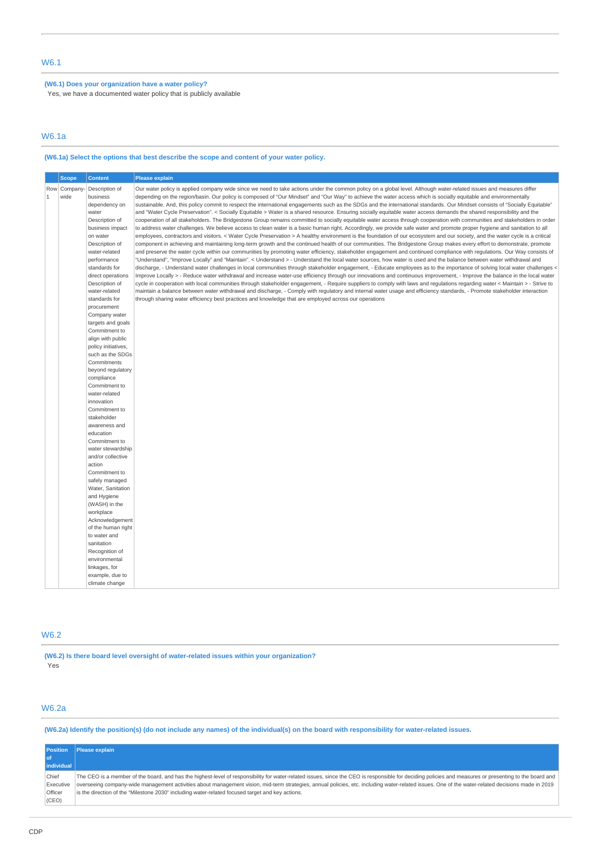### **(W6.1) Does your organization have a water policy?**

Yes, we have a documented water policy that is publicly available

### W6.1a

# **(W6.1a) Select the options that best describe the scope and content of your water policy.**

|              | <b>Scope</b> | <b>Content</b>                           | <b>Please explain</b>                                                                                                                                                                                                                                                                                                                           |
|--------------|--------------|------------------------------------------|-------------------------------------------------------------------------------------------------------------------------------------------------------------------------------------------------------------------------------------------------------------------------------------------------------------------------------------------------|
|              | Row Company- | Description of                           | Our water policy is applied company wide since we need to take actions under the common policy on a global level. Although water-related issues and measures differ                                                                                                                                                                             |
| $\mathbf{1}$ | wide         | business                                 | depending on the region/basin. Our policy is composed of "Our Mindset" and "Our Way" to achieve the water access which is socially equitable and environmentally                                                                                                                                                                                |
|              |              | dependency on                            | sustainable. And, this policy commit to respect the international engagements such as the SDGs and the international standards. Our Mindset consists of "Socially Equitable"                                                                                                                                                                    |
|              |              | water                                    | and "Water Cycle Preservation". < Socially Equitable > Water is a shared resource. Ensuring socially equitable water access demands the shared responsibility and the                                                                                                                                                                           |
|              |              | Description of                           | cooperation of all stakeholders. The Bridgestone Group remains committed to socially equitable water access through cooperation with communities and stakeholders in order                                                                                                                                                                      |
|              |              | business impact                          | to address water challenges. We believe access to clean water is a basic human right. Accordingly, we provide safe water and promote proper hygiene and sanitation to all                                                                                                                                                                       |
|              |              | on water                                 | employees, contractors and visitors. < Water Cycle Preservation > A healthy environment is the foundation of our ecosystem and our society, and the water cycle is a critical                                                                                                                                                                   |
|              |              | Description of                           | component in achieving and maintaining long-term growth and the continued health of our communities. The Bridgestone Group makes every effort to demonstrate, promote                                                                                                                                                                           |
|              |              | water-related<br>performance             | and preserve the water cycle within our communities by promoting water efficiency, stakeholder engagement and continued compliance with regulations. Our Way consists of<br>"Understand", "Improve Locally" and "Maintain". < Understand > - Understand the local water sources, how water is used and the balance between water withdrawal and |
|              |              | standards for                            | discharge, - Understand water challenges in local communities through stakeholder engagement, - Educate employees as to the importance of solving local water challenges <                                                                                                                                                                      |
|              |              | direct operations                        | Improve Locally > - Reduce water withdrawal and increase water-use efficiency through our innovations and continuous improvement, - Improve the balance in the local water                                                                                                                                                                      |
|              |              | Description of                           | cycle in cooperation with local communities through stakeholder engagement, - Require suppliers to comply with laws and regulations regarding water < Maintain > - Strive to                                                                                                                                                                    |
|              |              | water-related                            | maintain a balance between water withdrawal and discharge, - Comply with regulatory and internal water usage and efficiency standards, - Promote stakeholder interaction                                                                                                                                                                        |
|              |              | standards for                            | through sharing water efficiency best practices and knowledge that are employed across our operations                                                                                                                                                                                                                                           |
|              |              | procurement                              |                                                                                                                                                                                                                                                                                                                                                 |
|              |              | Company water                            |                                                                                                                                                                                                                                                                                                                                                 |
|              |              | targets and goals                        |                                                                                                                                                                                                                                                                                                                                                 |
|              |              | Commitment to                            |                                                                                                                                                                                                                                                                                                                                                 |
|              |              | align with public<br>policy initiatives, |                                                                                                                                                                                                                                                                                                                                                 |
|              |              | such as the SDGs                         |                                                                                                                                                                                                                                                                                                                                                 |
|              |              | Commitments                              |                                                                                                                                                                                                                                                                                                                                                 |
|              |              | beyond regulatory                        |                                                                                                                                                                                                                                                                                                                                                 |
|              |              | compliance                               |                                                                                                                                                                                                                                                                                                                                                 |
|              |              | Commitment to                            |                                                                                                                                                                                                                                                                                                                                                 |
|              |              | water-related                            |                                                                                                                                                                                                                                                                                                                                                 |
|              |              | innovation                               |                                                                                                                                                                                                                                                                                                                                                 |
|              |              | Commitment to                            |                                                                                                                                                                                                                                                                                                                                                 |
|              |              | stakeholder<br>awareness and             |                                                                                                                                                                                                                                                                                                                                                 |
|              |              | education                                |                                                                                                                                                                                                                                                                                                                                                 |
|              |              | Commitment to                            |                                                                                                                                                                                                                                                                                                                                                 |
|              |              | water stewardship                        |                                                                                                                                                                                                                                                                                                                                                 |
|              |              | and/or collective                        |                                                                                                                                                                                                                                                                                                                                                 |
|              |              | action                                   |                                                                                                                                                                                                                                                                                                                                                 |
|              |              | Commitment to                            |                                                                                                                                                                                                                                                                                                                                                 |
|              |              | safely managed                           |                                                                                                                                                                                                                                                                                                                                                 |
|              |              | Water, Sanitation                        |                                                                                                                                                                                                                                                                                                                                                 |
|              |              | and Hygiene<br>(WASH) in the             |                                                                                                                                                                                                                                                                                                                                                 |
|              |              | workplace                                |                                                                                                                                                                                                                                                                                                                                                 |
|              |              | Acknowledgement                          |                                                                                                                                                                                                                                                                                                                                                 |
|              |              | of the human right                       |                                                                                                                                                                                                                                                                                                                                                 |
|              |              | to water and                             |                                                                                                                                                                                                                                                                                                                                                 |
|              |              | sanitation                               |                                                                                                                                                                                                                                                                                                                                                 |
|              |              | Recognition of                           |                                                                                                                                                                                                                                                                                                                                                 |
|              |              | environmental                            |                                                                                                                                                                                                                                                                                                                                                 |
|              |              | linkages, for                            |                                                                                                                                                                                                                                                                                                                                                 |
|              |              | example, due to                          |                                                                                                                                                                                                                                                                                                                                                 |
|              |              | climate change                           |                                                                                                                                                                                                                                                                                                                                                 |

### W6.2

**(W6.2) Is there board level oversight of water-related issues within your organization?** Yes

### W6.2a

**(W6.2a) Identify the position(s) (do not include any names) of the individual(s) on the board with responsibility for water-related issues.**

| <b>Position</b> | <b>Please explain</b>                                                                                                                                                                                  |
|-----------------|--------------------------------------------------------------------------------------------------------------------------------------------------------------------------------------------------------|
| l of            |                                                                                                                                                                                                        |
| individual      |                                                                                                                                                                                                        |
| Chief           | The CEO is a member of the board, and has the highest-level of responsibility for water-related issues, since the CEO is responsible for deciding policies and measures or presenting to the board and |
| Executive       | overseeing company-wide management activities about management vision, mid-term strategies, annual policies, etc. including water-related issues. One of the water-related decisions made in 2019      |
| Officer         | is the direction of the "Milestone 2030" including water-related focused target and key actions.                                                                                                       |
| (CEO)           |                                                                                                                                                                                                        |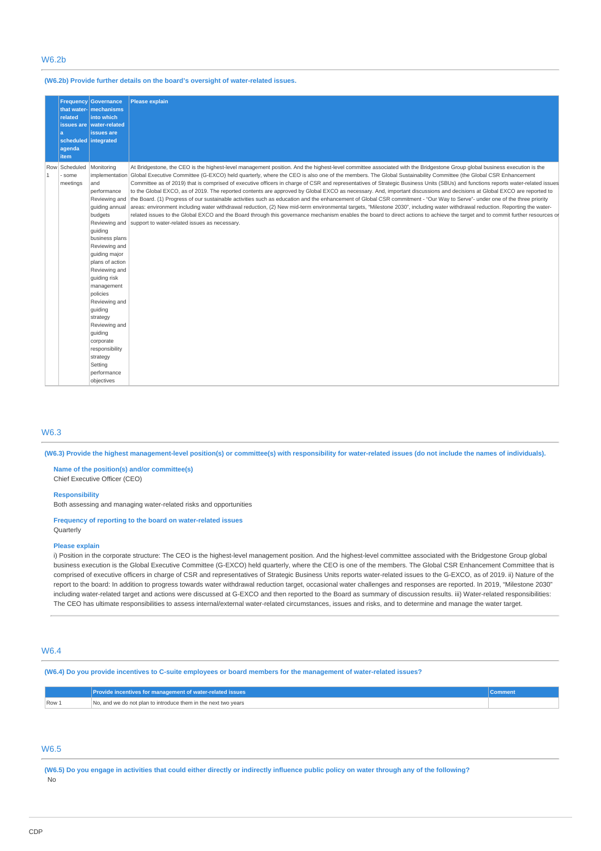# W6.2b

**(W6.2b) Provide further details on the board's oversight of water-related issues.**

|              | <b>Frequency</b><br>related<br>a<br>agenda<br><b>item</b> | Governance<br>that water- mechanisms<br>into which<br>issues are water-related<br>issues are<br>scheduled integrated                                                                                                                                                                                                                                                                | <b>Please explain</b>                                                                                                                                                                                                                                                                                                                                                                                                                                                                                                                                                                                                                                                                                                                                                                                                                                                                                                                                                                                                                                                                                                                                                                                                                                                                                                                  |
|--------------|-----------------------------------------------------------|-------------------------------------------------------------------------------------------------------------------------------------------------------------------------------------------------------------------------------------------------------------------------------------------------------------------------------------------------------------------------------------|----------------------------------------------------------------------------------------------------------------------------------------------------------------------------------------------------------------------------------------------------------------------------------------------------------------------------------------------------------------------------------------------------------------------------------------------------------------------------------------------------------------------------------------------------------------------------------------------------------------------------------------------------------------------------------------------------------------------------------------------------------------------------------------------------------------------------------------------------------------------------------------------------------------------------------------------------------------------------------------------------------------------------------------------------------------------------------------------------------------------------------------------------------------------------------------------------------------------------------------------------------------------------------------------------------------------------------------|
| $\mathbf{1}$ | Row Scheduled<br>some<br>meetings                         | Monitoring<br>implementation<br>and<br>performance<br>quiding annual<br>budgets<br>guiding<br>business plans<br>Reviewing and<br>guiding major<br>plans of action<br>Reviewing and<br>quiding risk<br>management<br>policies<br>Reviewing and<br>guiding<br>strategy<br>Reviewing and<br>quiding<br>corporate<br>responsibility<br>strategy<br>Setting<br>performance<br>objectives | At Bridgestone, the CEO is the highest-level management position. And the highest-level committee associated with the Bridgestone Group global business execution is the<br>Global Executive Committee (G-EXCO) held quarterly, where the CEO is also one of the members. The Global Sustainability Committee (the Global CSR Enhancement<br>Committee as of 2019) that is comprised of executive officers in charge of CSR and representatives of Strategic Business Units (SBUs) and functions reports water-related issues<br>to the Global EXCO, as of 2019. The reported contents are approved by Global EXCO as necessary. And, important discussions and decisions at Global EXCO are reported to<br>Reviewing and the Board. (1) Progress of our sustainable activities such as education and the enhancement of Global CSR commitment - "Our Way to Serve"- under one of the three priority<br>areas: environment including water withdrawal reduction, (2) New mid-term environmental targets, "Milestone 2030", including water withdrawal reduction. Reporting the water-<br>related issues to the Global EXCO and the Board through this governance mechanism enables the board to direct actions to achieve the target and to commit further resources or<br>Reviewing and Support to water-related issues as necessary. |

# W6.3

**(W6.3) Provide the highest management-level position(s) or committee(s) with responsibility for water-related issues (do not include the names of individuals).**

**Name of the position(s) and/or committee(s)** Chief Executive Officer (CEO)

#### **Responsibility**

Both assessing and managing water-related risks and opportunities

#### **Frequency of reporting to the board on water-related issues** Quarterly

#### **Please explain**

i) Position in the corporate structure: The CEO is the highest-level management position. And the highest-level committee associated with the Bridgestone Group global business execution is the Global Executive Committee (G-EXCO) held quarterly, where the CEO is one of the members. The Global CSR Enhancement Committee that is comprised of executive officers in charge of CSR and representatives of Strategic Business Units reports water-related issues to the G-EXCO, as of 2019. ii) Nature of the report to the board: In addition to progress towards water withdrawal reduction target, occasional water challenges and responses are reported. In 2019, "Milestone 2030" including water-related target and actions were discussed at G-EXCO and then reported to the Board as summary of discussion results. iii) Water-related responsibilities: The CEO has ultimate responsibilities to assess internal/external water-related circumstances, issues and risks, and to determine and manage the water target.

# W6.4

**(W6.4) Do you provide incentives to C-suite employees or board members for the management of water-related issues?**

|       | Provide incentives for management of water-related issues      |  |
|-------|----------------------------------------------------------------|--|
| Row 1 | No, and we do not plan to introduce them in the next two vears |  |

### W6.5

**(W6.5) Do you engage in activities that could either directly or indirectly influence public policy on water through any of the following?** No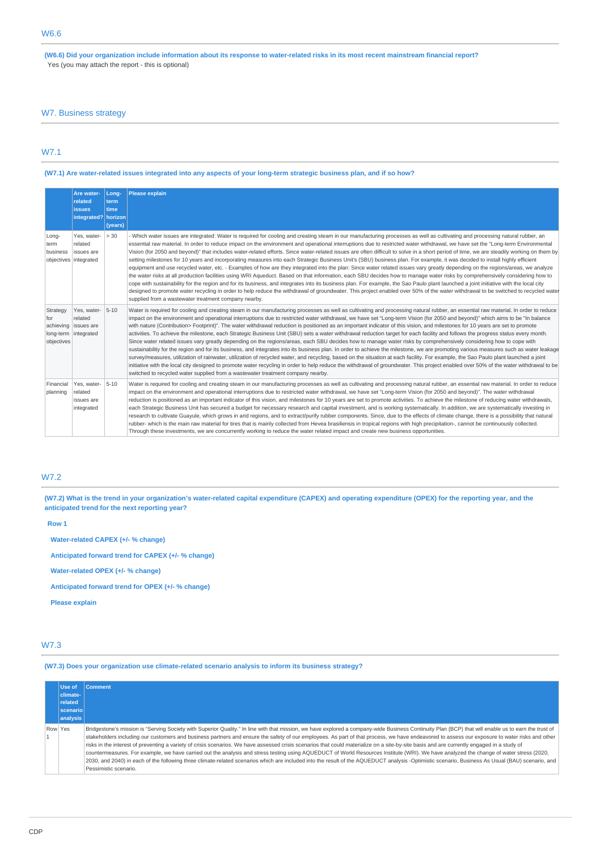**(W6.6) Did your organization include information about its response to water-related risks in its most recent mainstream financial report?** Yes (you may attach the report - this is optional)

# W7. Business strategy

# W7.1

### **(W7.1) Are water-related issues integrated into any aspects of your long-term strategic business plan, and if so how?**

|                                                    | Are water-<br>related<br><b>issues</b><br>integrated? horizon          | Lona-<br>term<br>time<br>(years) | <b>Please explain</b>                                                                                                                                                                                                                                                                                                                                                                                                                                                                                                                                                                                                                                                                                                                                                                                                                                                                                                                                                                                                                                                                                                                                                                                                                                                                                                                                                                                                                                                                                                                                                       |
|----------------------------------------------------|------------------------------------------------------------------------|----------------------------------|-----------------------------------------------------------------------------------------------------------------------------------------------------------------------------------------------------------------------------------------------------------------------------------------------------------------------------------------------------------------------------------------------------------------------------------------------------------------------------------------------------------------------------------------------------------------------------------------------------------------------------------------------------------------------------------------------------------------------------------------------------------------------------------------------------------------------------------------------------------------------------------------------------------------------------------------------------------------------------------------------------------------------------------------------------------------------------------------------------------------------------------------------------------------------------------------------------------------------------------------------------------------------------------------------------------------------------------------------------------------------------------------------------------------------------------------------------------------------------------------------------------------------------------------------------------------------------|
| Long-<br>term<br>business<br>objectives integrated | Yes, water-<br>related<br>ssues are                                    | > 30                             | - Which water issues are integrated: Water is required for cooling and creating steam in our manufacturing processes as well as cultivating and processing natural rubber, an<br>essential raw material. In order to reduce impact on the environment and operational interruptions due to restricted water withdrawal, we have set the "Long-term Environmental<br>Vision (for 2050 and beyond)" that includes water-related efforts. Since water-related issues are often difficult to solve in a short period of time, we are steadily working on them by<br>setting milestones for 10 years and incorporating measures into each Strategic Business Unit's (SBU) business plan. For example, it was decided to install highly efficient<br>equipment and use recycled water, etc. - Examples of how are they integrated into the plan: Since water related issues vary greatly depending on the regions/areas, we analyze<br>the water risks at all production facilities using WRI Aqueduct. Based on that information, each SBU decides how to manage water risks by comprehensively considering how to<br>cope with sustainability for the region and for its business, and integrates into its business plan. For example, the Sao Paulo plant launched a joint initiative with the local city<br>designed to promote water recycling in order to help reduce the withdrawal of groundwater. This project enabled over 50% of the water withdrawal to be switched to recycled water<br>supplied from a wastewater treatment company nearby.                         |
| Strategy<br>for<br>objectives                      | Yes, water-<br>related<br>achieving issues are<br>long-term integrated | $5 - 10$                         | Water is required for cooling and creating steam in our manufacturing processes as well as cultivating and processing natural rubber, an essential raw material. In order to reduce<br>impact on the environment and operational interruptions due to restricted water withdrawal, we have set "Long-term Vision (for 2050 and beyond)" which aims to be "In balance<br>with nature (Contribution> Footprint)". The water withdrawal reduction is positioned as an important indicator of this vision, and milestones for 10 years are set to promote<br>activities. To achieve the milestone, each Strategic Business Unit (SBU) sets a water withdrawal reduction target for each facility and follows the progress status every month.<br>Since water related issues vary greatly depending on the regions/areas, each SBU decides how to manage water risks by comprehensively considering how to cope with<br>sustainability for the region and for its business, and integrates into its business plan. In order to achieve the milestone, we are promoting various measures such as water leakage<br>survey/measures, utilization of rainwater, utilization of recycled water, and recycling, based on the situation at each facility. For example, the Sao Paulo plant launched a joint<br>initiative with the local city designed to promote water recycling in order to help reduce the withdrawal of groundwater. This project enabled over 50% of the water withdrawal to be<br>switched to recycled water supplied from a wastewater treatment company nearby. |
| Financial<br>planning                              | Yes, water-<br>related<br>issues are<br>integrated                     | $5 - 10$                         | Water is required for cooling and creating steam in our manufacturing processes as well as cultivating and processing natural rubber, an essential raw material. In order to reduce<br>impact on the environment and operational interruptions due to restricted water withdrawal, we have set "Long-term Vision (for 2050 and beyond)". The water withdrawal<br>reduction is positioned as an important indicator of this vision, and milestones for 10 years are set to promote activities. To achieve the milestone of reducing water withdrawals,<br>each Strategic Business Unit has secured a budget for necessary research and capital investment, and is working systematically. In addition, we are systematically investing in<br>research to cultivate Guayule, which grows in arid regions, and to extract/purify rubber components. Since, due to the effects of climate change, there is a possibility that natural<br>rubber- which is the main raw material for tires that is mainly collected from Hevea brasiliensis in tropical regions with high precipitation-, cannot be continuously collected.<br>Through these investments, we are concurrently working to reduce the water related impact and create new business opportunities.                                                                                                                                                                                                                                                                                                                  |

# W7.2

**(W7.2) What is the trend in your organization's water-related capital expenditure (CAPEX) and operating expenditure (OPEX) for the reporting year, and the anticipated trend for the next reporting year?**

| Row <sub>1</sub>                                   |
|----------------------------------------------------|
| Water-related CAPEX (+/- % change)                 |
| Anticipated forward trend for CAPEX (+/- % change) |
| Water-related OPEX (+/- % change)                  |
| Anticipated forward trend for OPEX (+/- % change)  |
| <b>Please explain</b>                              |
|                                                    |

# W7.3

**(W7.3) Does your organization use climate-related scenario analysis to inform its business strategy?**

|         | Use of<br>climate-<br>related<br>scenario<br>analysis | <b>Comment</b>                                                                                                                                                                                                                                                                                                                                                                                                                                                                                                                                                                                                                                                                                                                                                                                                                                                                                                                                                                                                                |
|---------|-------------------------------------------------------|-------------------------------------------------------------------------------------------------------------------------------------------------------------------------------------------------------------------------------------------------------------------------------------------------------------------------------------------------------------------------------------------------------------------------------------------------------------------------------------------------------------------------------------------------------------------------------------------------------------------------------------------------------------------------------------------------------------------------------------------------------------------------------------------------------------------------------------------------------------------------------------------------------------------------------------------------------------------------------------------------------------------------------|
| Row Yes |                                                       | Bridgestone's mission is "Serving Society with Superior Quality." In line with that mission, we have explored a company-wide Business Continuity Plan (BCP) that will enable us to earn the trust of<br>stakeholders including our customers and business partners and ensure the safety of our employees. As part of that process, we have endeavored to assess our exposure to water risks and other<br>risks in the interest of preventing a variety of crisis scenarios. We have assessed crisis scenarios that could materialize on a site-by-site basis and are currently engaged in a study of<br>countermeasures. For example, we have carried out the analysis and stress testing using AQUEDUCT of World Resources Institute (WRI). We have analyzed the change of water stress (2020,<br>2030, and 2040) in each of the following three climate-related scenarios which are included into the result of the AQUEDUCT analysis -Optimistic scenario, Business As Usual (BAU) scenario, and<br>Pessimistic scenario. |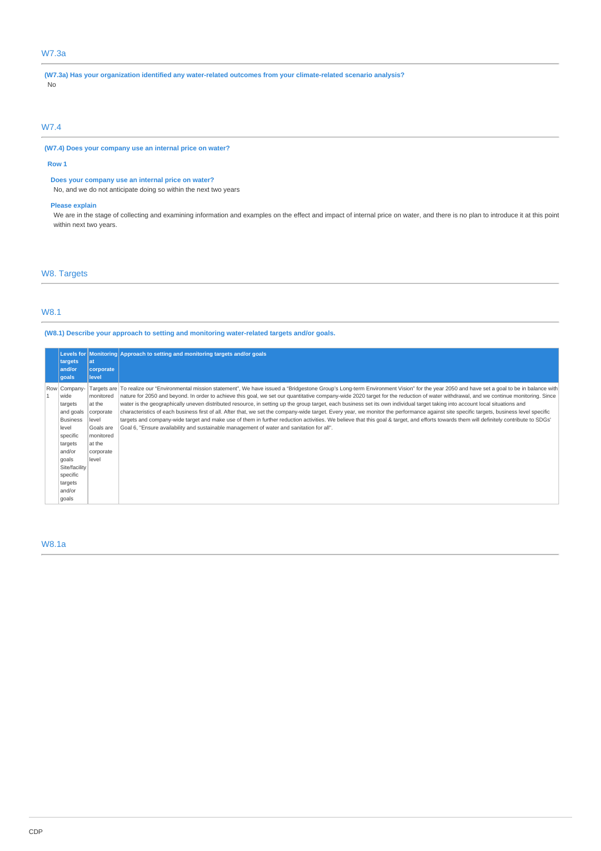# W7.3a

**(W7.3a) Has your organization identified any water-related outcomes from your climate-related scenario analysis?** No

### W7.4

**(W7.4) Does your company use an internal price on water?**

#### **Row 1**

### **Does your company use an internal price on water?**

No, and we do not anticipate doing so within the next two years

### **Please explain**

We are in the stage of collecting and examining information and examples on the effect and impact of internal price on water, and there is no plan to introduce it at this point within next two years.

# W8. Targets

### W8.1

**(W8.1) Describe your approach to setting and monitoring water-related targets and/or goals.**

|                                                                                                                                                                      |                                                                                                     | Levels for Monitoring Approach to setting and monitoring targets and/or goals                                                                                                                                                                                                                                                                                                                                                                                                                                                                                                                                                                                                                                                                                                                                                                                                                                                                                                                                                                             |
|----------------------------------------------------------------------------------------------------------------------------------------------------------------------|-----------------------------------------------------------------------------------------------------|-----------------------------------------------------------------------------------------------------------------------------------------------------------------------------------------------------------------------------------------------------------------------------------------------------------------------------------------------------------------------------------------------------------------------------------------------------------------------------------------------------------------------------------------------------------------------------------------------------------------------------------------------------------------------------------------------------------------------------------------------------------------------------------------------------------------------------------------------------------------------------------------------------------------------------------------------------------------------------------------------------------------------------------------------------------|
| targets<br>and/or<br>qoals                                                                                                                                           | lat<br>corporate<br>level                                                                           |                                                                                                                                                                                                                                                                                                                                                                                                                                                                                                                                                                                                                                                                                                                                                                                                                                                                                                                                                                                                                                                           |
| Row Company-<br>wide<br>targets<br>and goals<br><b>Business</b><br>level<br>specific<br>targets<br>and/or<br>goals<br>Site/facility<br>specific<br>targets<br>and/or | monitored<br>at the<br>corporate<br>level<br>Goals are<br>monitored<br>at the<br>corporate<br>level | Targets are To realize our "Environmental mission statement", We have issued a "Bridgestone Group's Long-term Environment Vision" for the year 2050 and have set a goal to be in balance with<br>nature for 2050 and beyond. In order to achieve this goal, we set our quantitative company-wide 2020 target for the reduction of water withdrawal, and we continue monitoring. Since<br>water is the geographically uneven distributed resource, in setting up the group target, each business set its own individual target taking into account local situations and<br>characteristics of each business first of all. After that, we set the company-wide target. Every year, we monitor the performance against site specific targets, business level specific<br>targets and company-wide target and make use of them in further reduction activities. We believe that this goal & target, and efforts towards them will definitely contribute to SDGs'<br>Goal 6, "Ensure availability and sustainable management of water and sanitation for all". |
| goals                                                                                                                                                                |                                                                                                     |                                                                                                                                                                                                                                                                                                                                                                                                                                                                                                                                                                                                                                                                                                                                                                                                                                                                                                                                                                                                                                                           |

### W8.1a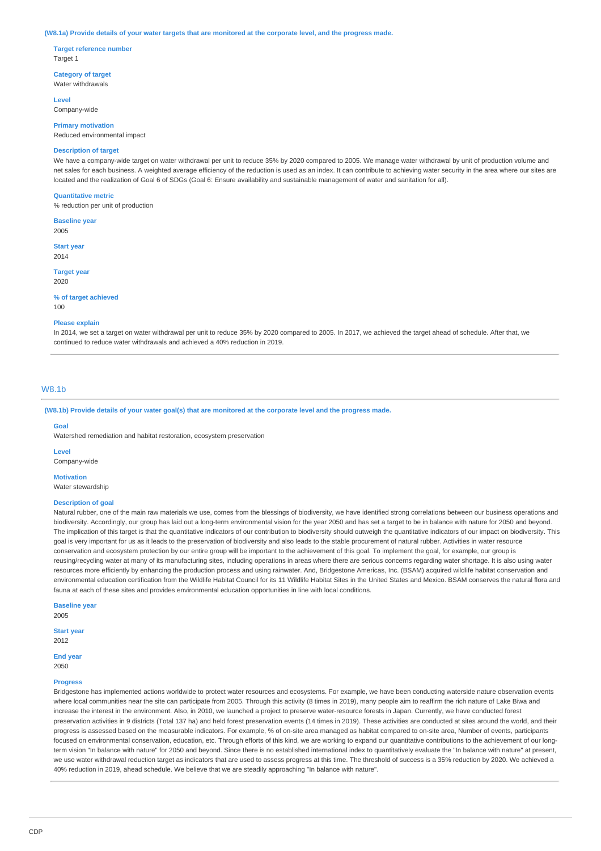#### **(W8.1a) Provide details of your water targets that are monitored at the corporate level, and the progress made.**

**Target reference number** Target 1

**Category of target** Water withdrawals

**Level**

Company-wide **Primary motivation**

Reduced environmental impact

### **Description of target**

We have a company-wide target on water withdrawal per unit to reduce 35% by 2020 compared to 2005. We manage water withdrawal by unit of production volume and net sales for each business. A weighted average efficiency of the reduction is used as an index. It can contribute to achieving water security in the area where our sites are located and the realization of Goal 6 of SDGs (Goal 6: Ensure availability and sustainable management of water and sanitation for all).

#### **Quantitative metric**

% reduction per unit of production

**Baseline year**

2005

**Start year** 2014

**Target year** 2020

#### **% of target achieved**

100

#### **Please explain**

In 2014, we set a target on water withdrawal per unit to reduce 35% by 2020 compared to 2005. In 2017, we achieved the target ahead of schedule. After that, we continued to reduce water withdrawals and achieved a 40% reduction in 2019.

### W8.1b

**(W8.1b) Provide details of your water goal(s) that are monitored at the corporate level and the progress made.**

#### **Goal**

Watershed remediation and habitat restoration, ecosystem preservation

**Level**

Company-wide

**Motivation** Water stewardship

# **Description of goal**

Natural rubber, one of the main raw materials we use, comes from the blessings of biodiversity, we have identified strong correlations between our business operations and biodiversity. Accordingly, our group has laid out a long-term environmental vision for the year 2050 and has set a target to be in balance with nature for 2050 and beyond. The implication of this target is that the quantitative indicators of our contribution to biodiversity should outweigh the quantitative indicators of our impact on biodiversity. This goal is very important for us as it leads to the preservation of biodiversity and also leads to the stable procurement of natural rubber. Activities in water resource conservation and ecosystem protection by our entire group will be important to the achievement of this goal. To implement the goal, for example, our group is reusing/recycling water at many of its manufacturing sites, including operations in areas where there are serious concerns regarding water shortage. It is also using water

resources more efficiently by enhancing the production process and using rainwater. And, Bridgestone Americas, Inc. (BSAM) acquired wildlife habitat conservation and environmental education certification from the Wildlife Habitat Council for its 11 Wildlife Habitat Sites in the United States and Mexico. BSAM conserves the natural flora and fauna at each of these sites and provides environmental education opportunities in line with local conditions.

**Baseline year** 2005

**Start year** 2012

**End year** 2050

#### **Progress**

Bridgestone has implemented actions worldwide to protect water resources and ecosystems. For example, we have been conducting waterside nature observation events where local communities near the site can participate from 2005. Through this activity (8 times in 2019), many people aim to reaffirm the rich nature of Lake Biwa and increase the interest in the environment. Also, in 2010, we launched a project to preserve water-resource forests in Japan. Currently, we have conducted forest preservation activities in 9 districts (Total 137 ha) and held forest preservation events (14 times in 2019). These activities are conducted at sites around the world, and their progress is assessed based on the measurable indicators. For example, % of on-site area managed as habitat compared to on-site area, Number of events, participants focused on environmental conservation, education, etc. Through efforts of this kind, we are working to expand our quantitative contributions to the achievement of our longterm vision "In balance with nature" for 2050 and beyond. Since there is no established international index to quantitatively evaluate the "In balance with nature" at present, we use water withdrawal reduction target as indicators that are used to assess progress at this time. The threshold of success is a 35% reduction by 2020. We achieved a 40% reduction in 2019, ahead schedule. We believe that we are steadily approaching "In balance with nature".